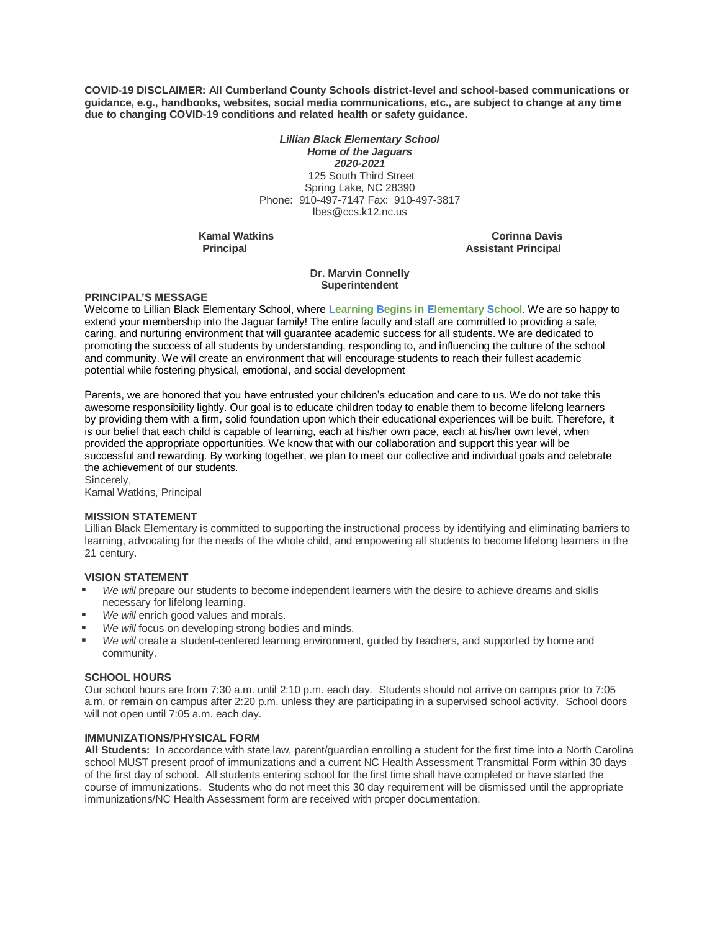**COVID-19 DISCLAIMER: All Cumberland County Schools district-level and school-based communications or guidance, e.g., handbooks, websites, social media communications, etc., are subject to change at any time due to changing COVID-19 conditions and related health or safety guidance.**

> *Lillian Black Elementary School Home of the Jaguars 2020-2021* 125 South Third Street Spring Lake, NC 28390 Phone: 910-497-7147 Fax: 910-497-3817 lbes@ccs.k12.nc.us

**Kamal Watkins Corinna Davis Principal Assistant Principal**

## **Dr. Marvin Connelly Superintendent**

## **PRINCIPAL'S MESSAGE**

Welcome to Lillian Black Elementary School, where **Learning Begins in Elementary School**. We are so happy to extend your membership into the Jaguar family! The entire faculty and staff are committed to providing a safe, caring, and nurturing environment that will guarantee academic success for all students. We are dedicated to promoting the success of all students by understanding, responding to, and influencing the culture of the school and community. We will create an environment that will encourage students to reach their fullest academic potential while fostering physical, emotional, and social development

Parents, we are honored that you have entrusted your children's education and care to us. We do not take this awesome responsibility lightly. Our goal is to educate children today to enable them to become lifelong learners by providing them with a firm, solid foundation upon which their educational experiences will be built. Therefore, it is our belief that each child is capable of learning, each at his/her own pace, each at his/her own level, when provided the appropriate opportunities. We know that with our collaboration and support this year will be successful and rewarding. By working together, we plan to meet our collective and individual goals and celebrate the achievement of our students.

Sincerely, Kamal Watkins, Principal

## **MISSION STATEMENT**

Lillian Black Elementary is committed to supporting the instructional process by identifying and eliminating barriers to learning, advocating for the needs of the whole child, and empowering all students to become lifelong learners in the 21 century.

## **VISION STATEMENT**

- *We will* prepare our students to become independent learners with the desire to achieve dreams and skills necessary for lifelong learning.
- *We will* enrich good values and morals.
- *We will* focus on developing strong bodies and minds.
- *We will* create a student-centered learning environment, guided by teachers, and supported by home and community.

#### **SCHOOL HOURS**

Our school hours are from 7:30 a.m. until 2:10 p.m. each day. Students should not arrive on campus prior to 7:05 a.m. or remain on campus after 2:20 p.m. unless they are participating in a supervised school activity. School doors will not open until 7:05 a.m. each day.

## **IMMUNIZATIONS/PHYSICAL FORM**

**All Students:** In accordance with state law, parent/guardian enrolling a student for the first time into a North Carolina school MUST present proof of immunizations and a current NC Health Assessment Transmittal Form within 30 days of the first day of school. All students entering school for the first time shall have completed or have started the course of immunizations. Students who do not meet this 30 day requirement will be dismissed until the appropriate immunizations/NC Health Assessment form are received with proper documentation.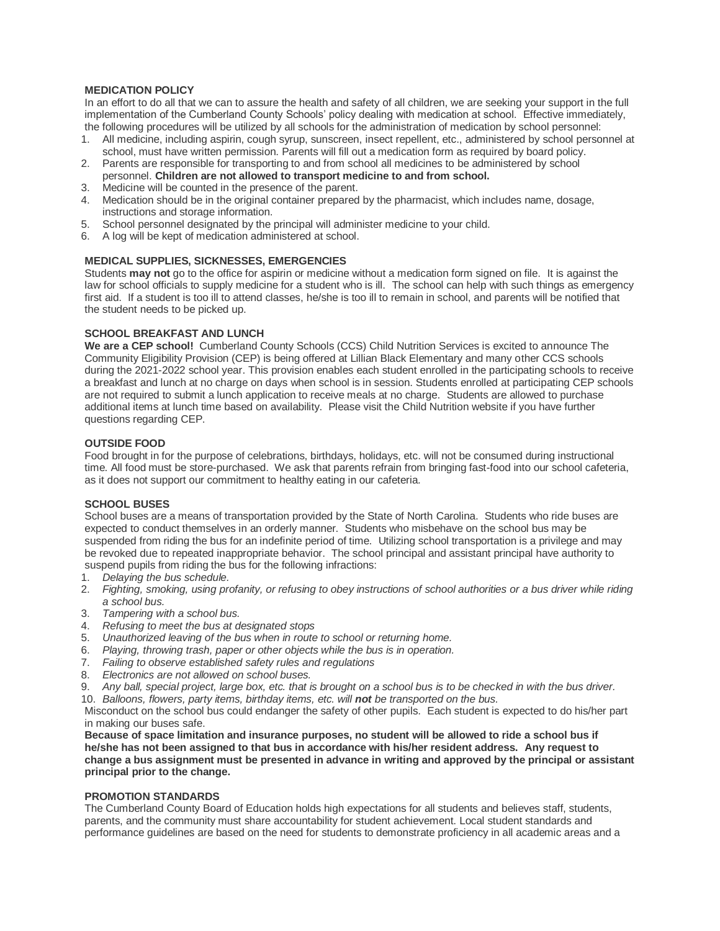## **MEDICATION POLICY**

In an effort to do all that we can to assure the health and safety of all children, we are seeking your support in the full implementation of the Cumberland County Schools' policy dealing with medication at school. Effective immediately, the following procedures will be utilized by all schools for the administration of medication by school personnel:

- 1. All medicine, including aspirin, cough syrup, sunscreen, insect repellent, etc., administered by school personnel at school, must have written permission. Parents will fill out a medication form as required by board policy.
- 2. Parents are responsible for transporting to and from school all medicines to be administered by school personnel. **Children are not allowed to transport medicine to and from school.**
- 3. Medicine will be counted in the presence of the parent.
- 4. Medication should be in the original container prepared by the pharmacist, which includes name, dosage, instructions and storage information.
- 5. School personnel designated by the principal will administer medicine to your child.
- 6. A log will be kept of medication administered at school.

## **MEDICAL SUPPLIES, SICKNESSES, EMERGENCIES**

Students **may not** go to the office for aspirin or medicine without a medication form signed on file. It is against the law for school officials to supply medicine for a student who is ill. The school can help with such things as emergency first aid. If a student is too ill to attend classes, he/she is too ill to remain in school, and parents will be notified that the student needs to be picked up.

## **SCHOOL BREAKFAST AND LUNCH**

**We are a CEP school!** Cumberland County Schools (CCS) Child Nutrition Services is excited to announce The Community Eligibility Provision (CEP) is being offered at Lillian Black Elementary and many other CCS schools during the 2021-2022 school year. This provision enables each student enrolled in the participating schools to receive a breakfast and lunch at no charge on days when school is in session. Students enrolled at participating CEP schools are not required to submit a lunch application to receive meals at no charge. Students are allowed to purchase additional items at lunch time based on availability. Please visit the Child Nutrition website if you have further questions regarding CEP.

## **OUTSIDE FOOD**

Food brought in for the purpose of celebrations, birthdays, holidays, etc. will not be consumed during instructional time. All food must be store-purchased. We ask that parents refrain from bringing fast-food into our school cafeteria, as it does not support our commitment to healthy eating in our cafeteria.

## **SCHOOL BUSES**

School buses are a means of transportation provided by the State of North Carolina. Students who ride buses are expected to conduct themselves in an orderly manner. Students who misbehave on the school bus may be suspended from riding the bus for an indefinite period of time. Utilizing school transportation is a privilege and may be revoked due to repeated inappropriate behavior. The school principal and assistant principal have authority to suspend pupils from riding the bus for the following infractions:

- 1. *Delaying the bus schedule.*
- 2. *Fighting, smoking, using profanity, or refusing to obey instructions of school authorities or a bus driver while riding a school bus.*
- 3. *Tampering with a school bus.*
- 4. *Refusing to meet the bus at designated stops*
- 5. *Unauthorized leaving of the bus when in route to school or returning home.*
- 6. *Playing, throwing trash, paper or other objects while the bus is in operation.*
- 7. *Failing to observe established safety rules and regulations*
- 8. *Electronics are not allowed on school buses.*
- 9. *Any ball, special project, large box, etc. that is brought on a school bus is to be checked in with the bus driver.*
- 10. *Balloons, flowers, party items, birthday items, etc. will not be transported on the bus.*

Misconduct on the school bus could endanger the safety of other pupils. Each student is expected to do his/her part in making our buses safe.

**Because of space limitation and insurance purposes, no student will be allowed to ride a school bus if he/she has not been assigned to that bus in accordance with his/her resident address. Any request to change a bus assignment must be presented in advance in writing and approved by the principal or assistant principal prior to the change.**

## **PROMOTION STANDARDS**

The Cumberland County Board of Education holds high expectations for all students and believes staff, students, parents, and the community must share accountability for student achievement. Local student standards and performance guidelines are based on the need for students to demonstrate proficiency in all academic areas and a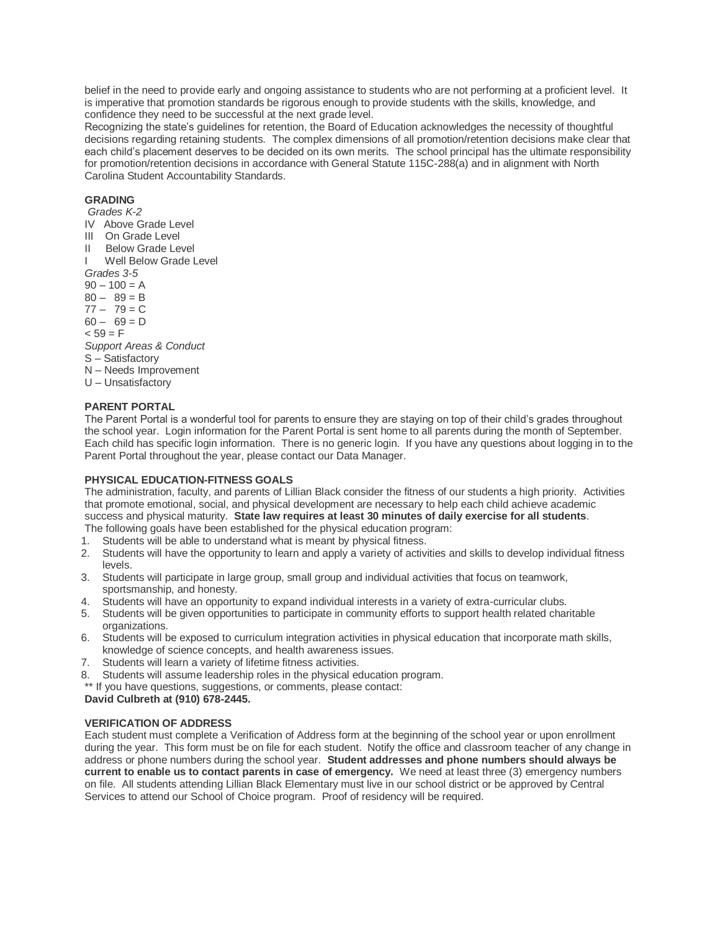belief in the need to provide early and ongoing assistance to students who are not performing at a proficient level. It is imperative that promotion standards be rigorous enough to provide students with the skills, knowledge, and confidence they need to be successful at the next grade level.

Recognizing the state's guidelines for retention, the Board of Education acknowledges the necessity of thoughtful decisions regarding retaining students. The complex dimensions of all promotion/retention decisions make clear that each child's placement deserves to be decided on its own merits. The school principal has the ultimate responsibility for promotion/retention decisions in accordance with General Statute 115C-288(a) and in alignment with North Carolina Student Accountability Standards.

## **GRADING**

*Grades K-2*

- IV Above Grade Level
- III On Grade Level
- II Below Grade Level
- I Well Below Grade Level

*Grades 3-5* 

- $90 100 = A$
- $80 89 = B$
- $77 79 = C$
- $60 69 = D$
- $< 59 = F$
- *Support Areas & Conduct*
- S Satisfactory
- N Needs Improvement
- U Unsatisfactory

## **PARENT PORTAL**

The Parent Portal is a wonderful tool for parents to ensure they are staying on top of their child's grades throughout the school year. Login information for the Parent Portal is sent home to all parents during the month of September. Each child has specific login information. There is no generic login. If you have any questions about logging in to the Parent Portal throughout the year, please contact our Data Manager.

## **PHYSICAL EDUCATION-FITNESS GOALS**

The administration, faculty, and parents of Lillian Black consider the fitness of our students a high priority. Activities that promote emotional, social, and physical development are necessary to help each child achieve academic success and physical maturity. **State law requires at least 30 minutes of daily exercise for all students**. The following goals have been established for the physical education program:

- 1. Students will be able to understand what is meant by physical fitness.
- 2. Students will have the opportunity to learn and apply a variety of activities and skills to develop individual fitness levels.
- 3. Students will participate in large group, small group and individual activities that focus on teamwork, sportsmanship, and honesty.
- 4. Students will have an opportunity to expand individual interests in a variety of extra-curricular clubs.
- 5. Students will be given opportunities to participate in community efforts to support health related charitable organizations.
- 6. Students will be exposed to curriculum integration activities in physical education that incorporate math skills, knowledge of science concepts, and health awareness issues.
- 7. Students will learn a variety of lifetime fitness activities.
- Students will assume leadership roles in the physical education program.

\*\* If you have questions, suggestions, or comments, please contact:

## **David Culbreth at (910) 678-2445.**

## **VERIFICATION OF ADDRESS**

Each student must complete a Verification of Address form at the beginning of the school year or upon enrollment during the year. This form must be on file for each student. Notify the office and classroom teacher of any change in address or phone numbers during the school year. **Student addresses and phone numbers should always be current to enable us to contact parents in case of emergency.** We need at least three (3) emergency numbers on file. All students attending Lillian Black Elementary must live in our school district or be approved by Central Services to attend our School of Choice program. Proof of residency will be required.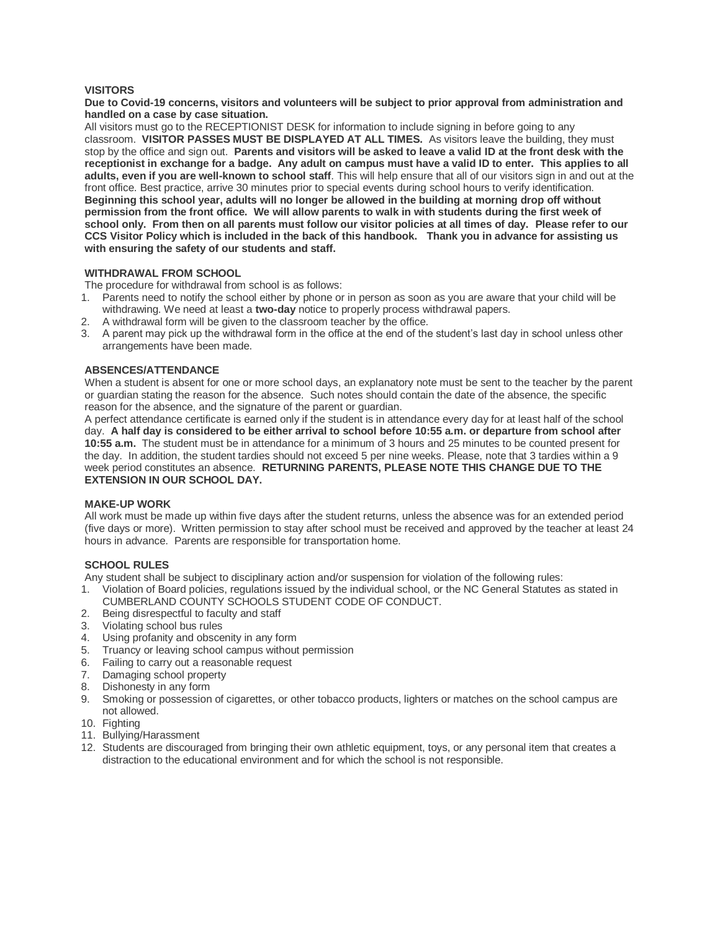## **VISITORS**

**Due to Covid-19 concerns, visitors and volunteers will be subject to prior approval from administration and handled on a case by case situation.** 

All visitors must go to the RECEPTIONIST DESK for information to include signing in before going to any classroom. **VISITOR PASSES MUST BE DISPLAYED AT ALL TIMES.** As visitors leave the building, they must stop by the office and sign out. **Parents and visitors will be asked to leave a valid ID at the front desk with the receptionist in exchange for a badge. Any adult on campus must have a valid ID to enter. This applies to all adults, even if you are well-known to school staff**. This will help ensure that all of our visitors sign in and out at the front office. Best practice, arrive 30 minutes prior to special events during school hours to verify identification. **Beginning this school year, adults will no longer be allowed in the building at morning drop off without permission from the front office. We will allow parents to walk in with students during the first week of school only. From then on all parents must follow our visitor policies at all times of day. Please refer to our CCS Visitor Policy which is included in the back of this handbook. Thank you in advance for assisting us with ensuring the safety of our students and staff.**

## **WITHDRAWAL FROM SCHOOL**

The procedure for withdrawal from school is as follows:

- 1. Parents need to notify the school either by phone or in person as soon as you are aware that your child will be withdrawing. We need at least a **two-day** notice to properly process withdrawal papers.
- 2. A withdrawal form will be given to the classroom teacher by the office.
- 3. A parent may pick up the withdrawal form in the office at the end of the student's last day in school unless other arrangements have been made.

## **ABSENCES/ATTENDANCE**

When a student is absent for one or more school days, an explanatory note must be sent to the teacher by the parent or guardian stating the reason for the absence. Such notes should contain the date of the absence, the specific reason for the absence, and the signature of the parent or guardian.

A perfect attendance certificate is earned only if the student is in attendance every day for at least half of the school day. **A half day is considered to be either arrival to school before 10:55 a.m. or departure from school after 10:55 a.m.** The student must be in attendance for a minimum of 3 hours and 25 minutes to be counted present for the day. In addition, the student tardies should not exceed 5 per nine weeks. Please, note that 3 tardies within a 9 week period constitutes an absence. **RETURNING PARENTS, PLEASE NOTE THIS CHANGE DUE TO THE EXTENSION IN OUR SCHOOL DAY.**

## **MAKE-UP WORK**

All work must be made up within five days after the student returns, unless the absence was for an extended period (five days or more). Written permission to stay after school must be received and approved by the teacher at least 24 hours in advance. Parents are responsible for transportation home.

## **SCHOOL RULES**

Any student shall be subject to disciplinary action and/or suspension for violation of the following rules:

- 1. Violation of Board policies, regulations issued by the individual school, or the NC General Statutes as stated in CUMBERLAND COUNTY SCHOOLS STUDENT CODE OF CONDUCT.
- 2. Being disrespectful to faculty and staff
- 3. Violating school bus rules
- 4. Using profanity and obscenity in any form
- 5. Truancy or leaving school campus without permission
- 6. Failing to carry out a reasonable request
- 7. Damaging school property
- 8. Dishonesty in any form
- 9. Smoking or possession of cigarettes, or other tobacco products, lighters or matches on the school campus are not allowed.
- 10. Fighting
- 11. Bullying/Harassment
- 12. Students are discouraged from bringing their own athletic equipment, toys, or any personal item that creates a distraction to the educational environment and for which the school is not responsible.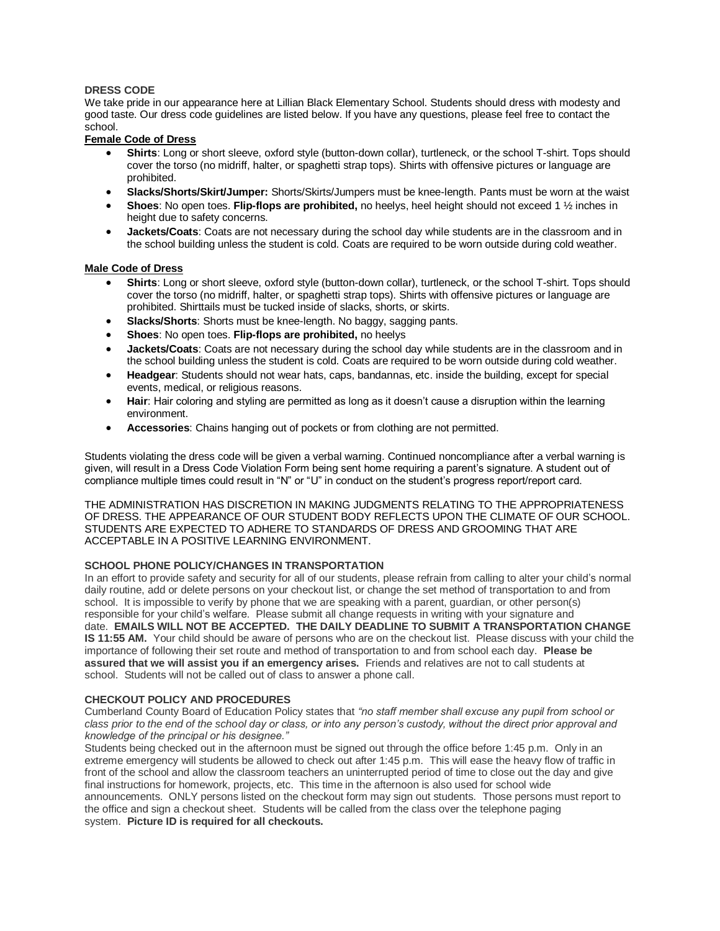## **DRESS CODE**

We take pride in our appearance here at Lillian Black Elementary School. Students should dress with modesty and good taste. Our dress code guidelines are listed below. If you have any questions, please feel free to contact the school.

## **Female Code of Dress**

- **Shirts**: Long or short sleeve, oxford style (button-down collar), turtleneck, or the school T-shirt. Tops should cover the torso (no midriff, halter, or spaghetti strap tops). Shirts with offensive pictures or language are prohibited.
- **Slacks/Shorts/Skirt/Jumper:** Shorts/Skirts/Jumpers must be knee-length. Pants must be worn at the waist
- **Shoes**: No open toes. **Flip-flops are prohibited,** no heelys, heel height should not exceed 1 ½ inches in height due to safety concerns.
- **Jackets/Coats**: Coats are not necessary during the school day while students are in the classroom and in the school building unless the student is cold. Coats are required to be worn outside during cold weather.

## **Male Code of Dress**

- **Shirts**: Long or short sleeve, oxford style (button-down collar), turtleneck, or the school T-shirt. Tops should cover the torso (no midriff, halter, or spaghetti strap tops). Shirts with offensive pictures or language are prohibited. Shirttails must be tucked inside of slacks, shorts, or skirts.
- **Slacks/Shorts**: Shorts must be knee-length. No baggy, sagging pants.
- **Shoes**: No open toes. **Flip-flops are prohibited,** no heelys
- **Jackets/Coats**: Coats are not necessary during the school day while students are in the classroom and in the school building unless the student is cold. Coats are required to be worn outside during cold weather.
- **Headgear**: Students should not wear hats, caps, bandannas, etc. inside the building, except for special events, medical, or religious reasons.
- **Hair**: Hair coloring and styling are permitted as long as it doesn't cause a disruption within the learning environment.
- **Accessories**: Chains hanging out of pockets or from clothing are not permitted.

Students violating the dress code will be given a verbal warning. Continued noncompliance after a verbal warning is given, will result in a Dress Code Violation Form being sent home requiring a parent's signature. A student out of compliance multiple times could result in "N" or "U" in conduct on the student's progress report/report card.

THE ADMINISTRATION HAS DISCRETION IN MAKING JUDGMENTS RELATING TO THE APPROPRIATENESS OF DRESS. THE APPEARANCE OF OUR STUDENT BODY REFLECTS UPON THE CLIMATE OF OUR SCHOOL. STUDENTS ARE EXPECTED TO ADHERE TO STANDARDS OF DRESS AND GROOMING THAT ARE ACCEPTABLE IN A POSITIVE LEARNING ENVIRONMENT.

## **SCHOOL PHONE POLICY/CHANGES IN TRANSPORTATION**

In an effort to provide safety and security for all of our students, please refrain from calling to alter your child's normal daily routine, add or delete persons on your checkout list, or change the set method of transportation to and from school. It is impossible to verify by phone that we are speaking with a parent, quardian, or other person(s) responsible for your child's welfare. Please submit all change requests in writing with your signature and date. **EMAILS WILL NOT BE ACCEPTED. THE DAILY DEADLINE TO SUBMIT A TRANSPORTATION CHANGE IS 11:55 AM.** Your child should be aware of persons who are on the checkout list. Please discuss with your child the importance of following their set route and method of transportation to and from school each day. **Please be assured that we will assist you if an emergency arises.** Friends and relatives are not to call students at school. Students will not be called out of class to answer a phone call.

## **CHECKOUT POLICY AND PROCEDURES**

Cumberland County Board of Education Policy states that *"no staff member shall excuse any pupil from school or class prior to the end of the school day or class, or into any person's custody, without the direct prior approval and knowledge of the principal or his designee."*

Students being checked out in the afternoon must be signed out through the office before 1:45 p.m. Only in an extreme emergency will students be allowed to check out after 1:45 p.m. This will ease the heavy flow of traffic in front of the school and allow the classroom teachers an uninterrupted period of time to close out the day and give final instructions for homework, projects, etc. This time in the afternoon is also used for school wide announcements. ONLY persons listed on the checkout form may sign out students. Those persons must report to the office and sign a checkout sheet. Students will be called from the class over the telephone paging system. **Picture ID is required for all checkouts.**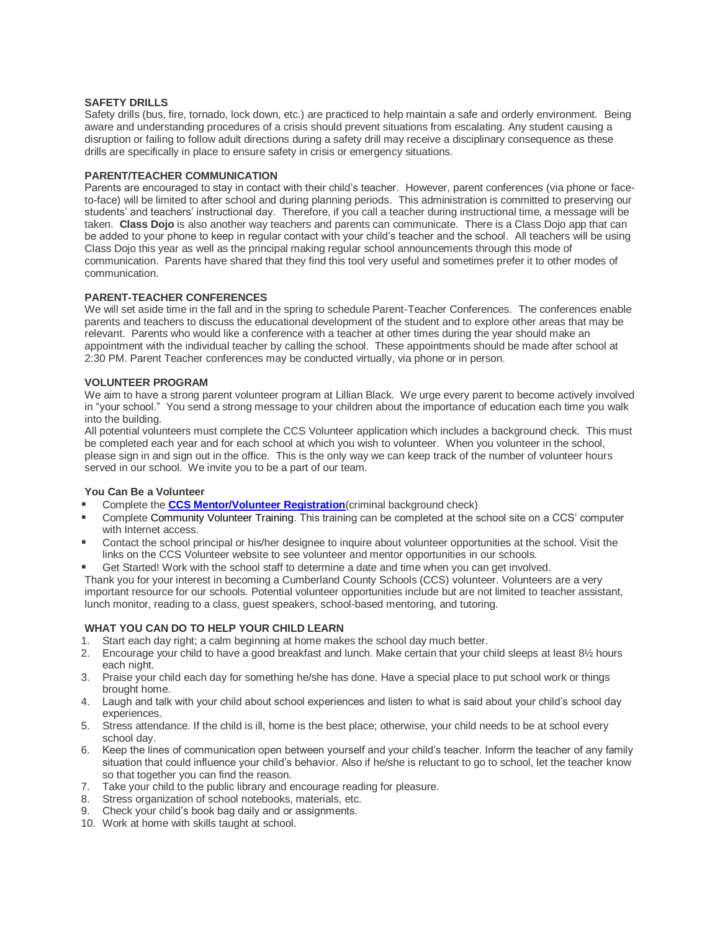## **SAFETY DRILLS**

Safety drills (bus, fire, tornado, lock down, etc.) are practiced to help maintain a safe and orderly environment. Being aware and understanding procedures of a crisis should prevent situations from escalating. Any student causing a disruption or failing to follow adult directions during a safety drill may receive a disciplinary consequence as these drills are specifically in place to ensure safety in crisis or emergency situations.

#### **PARENT/TEACHER COMMUNICATION**

Parents are encouraged to stay in contact with their child's teacher. However, parent conferences (via phone or faceto-face) will be limited to after school and during planning periods. This administration is committed to preserving our students' and teachers' instructional day. Therefore, if you call a teacher during instructional time, a message will be taken. **Class Dojo** is also another way teachers and parents can communicate. There is a Class Dojo app that can be added to your phone to keep in regular contact with your child's teacher and the school. All teachers will be using Class Dojo this year as well as the principal making regular school announcements through this mode of communication. Parents have shared that they find this tool very useful and sometimes prefer it to other modes of communication.

#### **PARENT-TEACHER CONFERENCES**

We will set aside time in the fall and in the spring to schedule Parent-Teacher Conferences. The conferences enable parents and teachers to discuss the educational development of the student and to explore other areas that may be relevant. Parents who would like a conference with a teacher at other times during the year should make an appointment with the individual teacher by calling the school. These appointments should be made after school at 2:30 PM. Parent Teacher conferences may be conducted virtually, via phone or in person.

## **VOLUNTEER PROGRAM**

We aim to have a strong parent volunteer program at Lillian Black. We urge every parent to become actively involved in "your school." You send a strong message to your children about the importance of education each time you walk into the building.

All potential volunteers must complete the CCS Volunteer application which includes a background check. This must be completed each year and for each school at which you wish to volunteer. When you volunteer in the school, please sign in and sign out in the office. This is the only way we can keep track of the number of volunteer hours served in our school. We invite you to be a part of our team.

## **You Can Be a Volunteer**

- Complete the **[CCS Mentor/Volunteer Registration](https://www.ccsvolunteers.com/)**(criminal background check)
- Complete Community Volunteer Training. This training can be completed at the school site on a CCS' computer with Internet access.
- Contact the school principal or his/her designee to inquire about volunteer opportunities at the school. Visit the links on the CCS Volunteer website to see volunteer and mentor opportunities in our schools.
- Get Started! Work with the school staff to determine a date and time when you can get involved.

Thank you for your interest in becoming a Cumberland County Schools (CCS) volunteer. Volunteers are a very important resource for our schools. Potential volunteer opportunities include but are not limited to teacher assistant, lunch monitor, reading to a class, guest speakers, school-based mentoring, and tutoring.

## **WHAT YOU CAN DO TO HELP YOUR CHILD LEARN**

- 1. Start each day right; a calm beginning at home makes the school day much better.
- 2. Encourage your child to have a good breakfast and lunch. Make certain that your child sleeps at least 8½ hours each night.
- 3. Praise your child each day for something he/she has done. Have a special place to put school work or things brought home.
- 4. Laugh and talk with your child about school experiences and listen to what is said about your child's school day experiences.
- 5. Stress attendance. If the child is ill, home is the best place; otherwise, your child needs to be at school every school day.
- 6. Keep the lines of communication open between yourself and your child's teacher. Inform the teacher of any family situation that could influence your child's behavior. Also if he/she is reluctant to go to school, let the teacher know so that together you can find the reason.
- 7. Take your child to the public library and encourage reading for pleasure.
- 8. Stress organization of school notebooks, materials, etc.
- 9. Check your child's book bag daily and or assignments.
- 10. Work at home with skills taught at school.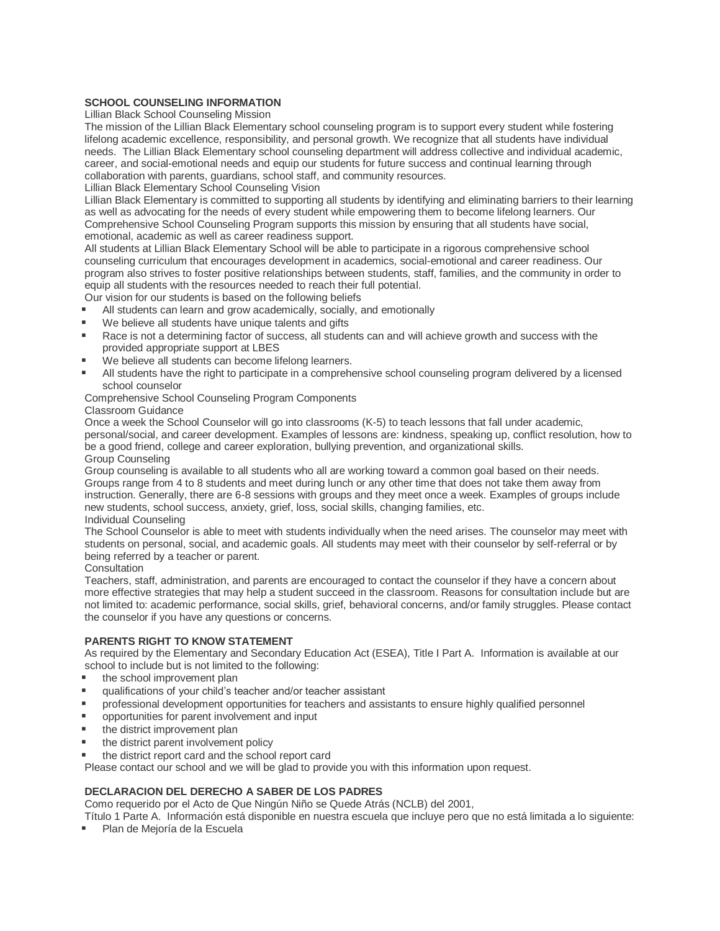## **SCHOOL COUNSELING INFORMATION**

Lillian Black School Counseling Mission

The mission of the Lillian Black Elementary school counseling program is to support every student while fostering lifelong academic excellence, responsibility, and personal growth. We recognize that all students have individual needs. The Lillian Black Elementary school counseling department will address collective and individual academic, career, and social-emotional needs and equip our students for future success and continual learning through collaboration with parents, guardians, school staff, and community resources.

Lillian Black Elementary School Counseling Vision

Lillian Black Elementary is committed to supporting all students by identifying and eliminating barriers to their learning as well as advocating for the needs of every student while empowering them to become lifelong learners. Our Comprehensive School Counseling Program supports this mission by ensuring that all students have social, emotional, academic as well as career readiness support.

All students at Lillian Black Elementary School will be able to participate in a rigorous comprehensive school counseling curriculum that encourages development in academics, social-emotional and career readiness. Our program also strives to foster positive relationships between students, staff, families, and the community in order to equip all students with the resources needed to reach their full potential.

Our vision for our students is based on the following beliefs

- All students can learn and grow academically, socially, and emotionally
- We believe all students have unique talents and gifts
- Race is not a determining factor of success, all students can and will achieve growth and success with the provided appropriate support at LBES
- We believe all students can become lifelong learners.
- All students have the right to participate in a comprehensive school counseling program delivered by a licensed school counselor

## Comprehensive School Counseling Program Components

## Classroom Guidance

Once a week the School Counselor will go into classrooms (K-5) to teach lessons that fall under academic, personal/social, and career development. Examples of lessons are: kindness, speaking up, conflict resolution, how to be a good friend, college and career exploration, bullying prevention, and organizational skills. Group Counseling

Group counseling is available to all students who all are working toward a common goal based on their needs. Groups range from 4 to 8 students and meet during lunch or any other time that does not take them away from instruction. Generally, there are 6-8 sessions with groups and they meet once a week. Examples of groups include new students, school success, anxiety, grief, loss, social skills, changing families, etc. Individual Counseling

The School Counselor is able to meet with students individually when the need arises. The counselor may meet with students on personal, social, and academic goals. All students may meet with their counselor by self-referral or by being referred by a teacher or parent.

Consultation

Teachers, staff, administration, and parents are encouraged to contact the counselor if they have a concern about more effective strategies that may help a student succeed in the classroom. Reasons for consultation include but are not limited to: academic performance, social skills, grief, behavioral concerns, and/or family struggles. Please contact the counselor if you have any questions or concerns.

## **PARENTS RIGHT TO KNOW STATEMENT**

As required by the Elementary and Secondary Education Act (ESEA), Title I Part A. Information is available at our school to include but is not limited to the following:

- the school improvement plan
- qualifications of your child's teacher and/or teacher assistant
- **•** professional development opportunities for teachers and assistants to ensure highly qualified personnel
- opportunities for parent involvement and input
- the district improvement plan
- the district parent involvement policy
- the district report card and the school report card

Please contact our school and we will be glad to provide you with this information upon request.

## **DECLARACION DEL DERECHO A SABER DE LOS PADRES**

Como requerido por el Acto de Que Ningún Niño se Quede Atrás (NCLB) del 2001,

Título 1 Parte A. Información está disponible en nuestra escuela que incluye pero que no está limitada a lo siguiente:

Plan de Mejoría de la Escuela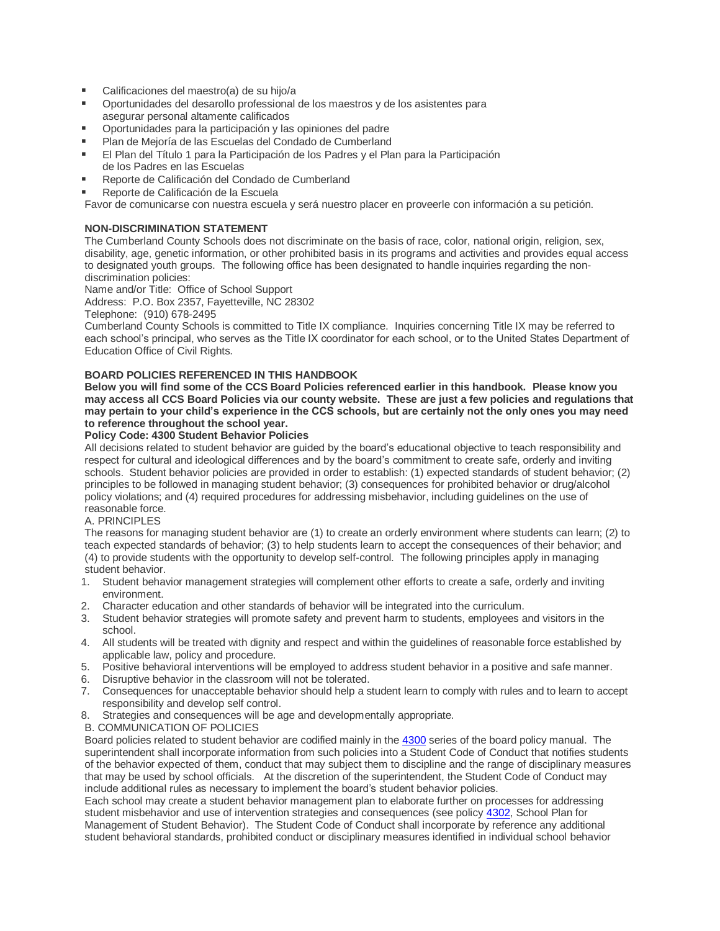- Calificaciones del maestro(a) de su hijo/a
- Oportunidades del desarollo professional de los maestros y de los asistentes para asegurar personal altamente calificados
- Oportunidades para la participación y las opiniones del padre
- Plan de Mejoría de las Escuelas del Condado de Cumberland
- El Plan del Título 1 para la Participación de los Padres y el Plan para la Participación de los Padres en las Escuelas
- Reporte de Calificación del Condado de Cumberland
- Reporte de Calificación de la Escuela

Favor de comunicarse con nuestra escuela y será nuestro placer en proveerle con información a su petición.

## **NON-DISCRIMINATION STATEMENT**

The Cumberland County Schools does not discriminate on the basis of race, color, national origin, religion, sex, disability, age, genetic information, or other prohibited basis in its programs and activities and provides equal access to designated youth groups. The following office has been designated to handle inquiries regarding the nondiscrimination policies:

Name and/or Title: Office of School Support

Address: P.O. Box 2357, Fayetteville, NC 28302

Telephone: (910) 678-2495

Cumberland County Schools is committed to Title IX compliance. Inquiries concerning Title IX may be referred to each school's principal, who serves as the Title IX coordinator for each school, or to the United States Department of Education Office of Civil Rights.

## **BOARD POLICIES REFERENCED IN THIS HANDBOOK**

**Below you will find some of the CCS Board Policies referenced earlier in this handbook. Please know you may access all CCS Board Policies via our county website. These are just a few policies and regulations that may pertain to your child's experience in the CCS schools, but are certainly not the only ones you may need to reference throughout the school year.**

## **Policy Code: 4300 Student Behavior Policies**

All decisions related to student behavior are guided by the board's educational objective to teach responsibility and respect for cultural and ideological differences and by the board's commitment to create safe, orderly and inviting schools. Student behavior policies are provided in order to establish: (1) expected standards of student behavior; (2) principles to be followed in managing student behavior; (3) consequences for prohibited behavior or drug/alcohol policy violations; and (4) required procedures for addressing misbehavior, including guidelines on the use of reasonable force.

## A. PRINCIPLES

The reasons for managing student behavior are (1) to create an orderly environment where students can learn; (2) to teach expected standards of behavior; (3) to help students learn to accept the consequences of their behavior; and (4) to provide students with the opportunity to develop self-control. The following principles apply in managing student behavior.

- 1. Student behavior management strategies will complement other efforts to create a safe, orderly and inviting environment.
- 2. Character education and other standards of behavior will be integrated into the curriculum.
- 3. Student behavior strategies will promote safety and prevent harm to students, employees and visitors in the school.
- 4. All students will be treated with dignity and respect and within the guidelines of reasonable force established by applicable law, policy and procedure.
- 5. Positive behavioral interventions will be employed to address student behavior in a positive and safe manner.
- 6. Disruptive behavior in the classroom will not be tolerated.
- 7. Consequences for unacceptable behavior should help a student learn to comply with rules and to learn to accept responsibility and develop self control.
- 8. Strategies and consequences will be age and developmentally appropriate.
- B. COMMUNICATION OF POLICIES

Board policies related to student behavior are codified mainly in the [4300](https://boardpolicyonline.com/bl/?b=cumberland&s=127875) series of the board policy manual. The superintendent shall incorporate information from such policies into a Student Code of Conduct that notifies students of the behavior expected of them, conduct that may subject them to discipline and the range of disciplinary measures that may be used by school officials. At the discretion of the superintendent, the Student Code of Conduct may include additional rules as necessary to implement the board's student behavior policies.

Each school may create a student behavior management plan to elaborate further on processes for addressing student misbehavior and use of intervention strategies and consequences (see policy [4302,](https://boardpolicyonline.com/bl/?b=cumberland&s=127878) School Plan for Management of Student Behavior). The Student Code of Conduct shall incorporate by reference any additional student behavioral standards, prohibited conduct or disciplinary measures identified in individual school behavior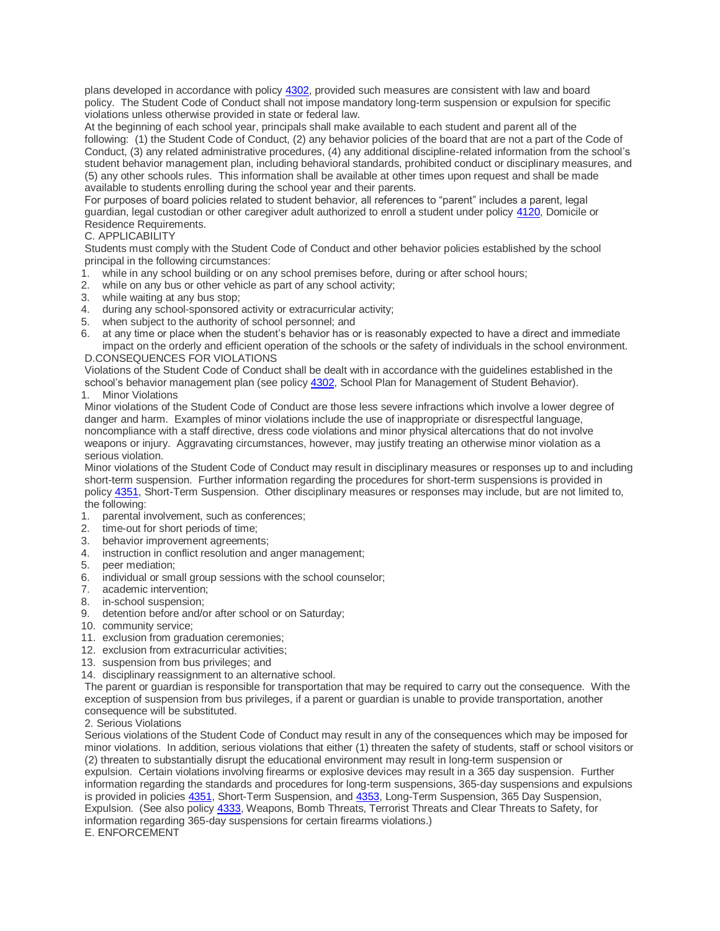plans developed in accordance with policy [4302,](https://boardpolicyonline.com/bl/?b=cumberland&s=127878) provided such measures are consistent with law and board policy. The Student Code of Conduct shall not impose mandatory long-term suspension or expulsion for specific violations unless otherwise provided in state or federal law.

At the beginning of each school year, principals shall make available to each student and parent all of the following: (1) the Student Code of Conduct, (2) any behavior policies of the board that are not a part of the Code of Conduct, (3) any related administrative procedures, (4) any additional discipline-related information from the school's student behavior management plan, including behavioral standards, prohibited conduct or disciplinary measures, and (5) any other schools rules. This information shall be available at other times upon request and shall be made available to students enrolling during the school year and their parents.

For purposes of board policies related to student behavior, all references to "parent" includes a parent, legal guardian, legal custodian or other caregiver adult authorized to enroll a student under policy [4120,](https://boardpolicyonline.com/bl/?b=cumberland&s=127849) Domicile or Residence Requirements.

## C. APPLICABILITY

Students must comply with the Student Code of Conduct and other behavior policies established by the school principal in the following circumstances:

- 1. while in any school building or on any school premises before, during or after school hours;
- 2. while on any bus or other vehicle as part of any school activity;
- 3. while waiting at any bus stop;
- 4. during any school-sponsored activity or extracurricular activity;
- 5. when subject to the authority of school personnel; and
- 6. at any time or place when the student's behavior has or is reasonably expected to have a direct and immediate impact on the orderly and efficient operation of the schools or the safety of individuals in the school environment. D.CONSEQUENCES FOR VIOLATIONS

Violations of the Student Code of Conduct shall be dealt with in accordance with the guidelines established in the school's behavior management plan (see policy [4302,](https://boardpolicyonline.com/bl/?b=cumberland&s=127878) School Plan for Management of Student Behavior).

1. Minor Violations

Minor violations of the Student Code of Conduct are those less severe infractions which involve a lower degree of danger and harm. Examples of minor violations include the use of inappropriate or disrespectful language, noncompliance with a staff directive, dress code violations and minor physical altercations that do not involve weapons or injury. Aggravating circumstances, however, may justify treating an otherwise minor violation as a serious violation.

Minor violations of the Student Code of Conduct may result in disciplinary measures or responses up to and including short-term suspension. Further information regarding the procedures for short-term suspensions is provided in policy [4351,](https://boardpolicyonline.com/bl/?b=cumberland&s=127908) Short-Term Suspension. Other disciplinary measures or responses may include, but are not limited to, the following:

- 1. parental involvement, such as conferences;
- 2. time-out for short periods of time;
- 3. behavior improvement agreements;
- 4. instruction in conflict resolution and anger management;
- 5. peer mediation;
- 6. individual or small group sessions with the school counselor;
- 7. academic intervention;
- 8. in-school suspension;
- 9. detention before and/or after school or on Saturday;
- 10. community service;
- 11. exclusion from graduation ceremonies;
- 12. exclusion from extracurricular activities;
- 13. suspension from bus privileges; and
- 14. disciplinary reassignment to an alternative school.

The parent or guardian is responsible for transportation that may be required to carry out the consequence. With the exception of suspension from bus privileges, if a parent or guardian is unable to provide transportation, another consequence will be substituted.

## 2. Serious Violations

Serious violations of the Student Code of Conduct may result in any of the consequences which may be imposed for minor violations. In addition, serious violations that either (1) threaten the safety of students, staff or school visitors or (2) threaten to substantially disrupt the educational environment may result in long-term suspension or expulsion. Certain violations involving firearms or explosive devices may result in a 365 day suspension. Further information regarding the standards and procedures for long-term suspensions, 365-day suspensions and expulsions is provided in policies [4351,](https://boardpolicyonline.com/bl/?b=cumberland&s=127908) Short-Term Suspension, and [4353,](https://boardpolicyonline.com/bl/?b=cumberland&s=127910) Long-Term Suspension, 365 Day Suspension, Expulsion. (See also policy [4333,](https://boardpolicyonline.com/bl/?b=cumberland&s=127900) Weapons, Bomb Threats, Terrorist Threats and Clear Threats to Safety, for information regarding 365-day suspensions for certain firearms violations.) E. ENFORCEMENT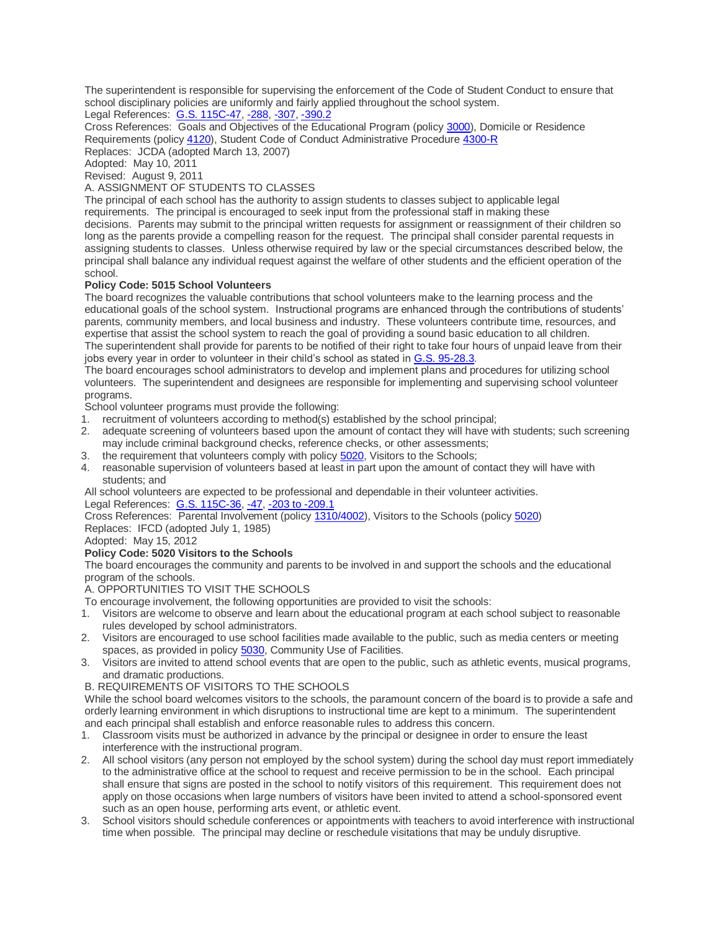The superintendent is responsible for supervising the enforcement of the Code of Student Conduct to ensure that school disciplinary policies are uniformly and fairly applied throughout the school system. Legal References: [G.S. 115C-47,](https://www.ncleg.net/EnactedLegislation/Statutes/HTML/BySection/Chapter_115C/GS_115C-47.html) [-288,](https://www.ncleg.net/EnactedLegislation/Statutes/HTML/BySection/Chapter_115C/GS_115C-288.html) [-307,](https://www.ncleg.net/EnactedLegislation/Statutes/HTML/BySection/Chapter_115C/GS_115C-307.html) [-390.2](https://www.ncleg.net/EnactedLegislation/Statutes/HTML/BySection/Chapter_115C/GS_115C-390.2.html)

Cross References: Goals and Objectives of the Educational Program (policy [3000\)](https://boardpolicyonline.com/bl/?b=cumberland&s=127765), Domicile or Residence Requirements (policy [4120\)](https://boardpolicyonline.com/bl/?b=cumberland&s=127849), Student Code of Conduct Administrative Procedure [4300-R](https://boardpolicyonline.com/bl/?b=cumberland&s=127876) Replaces: JCDA (adopted March 13, 2007)

Adopted: May 10, 2011

Revised: August 9, 2011 A. ASSIGNMENT OF STUDENTS TO CLASSES

The principal of each school has the authority to assign students to classes subject to applicable legal requirements. The principal is encouraged to seek input from the professional staff in making these decisions. Parents may submit to the principal written requests for assignment or reassignment of their children so long as the parents provide a compelling reason for the request. The principal shall consider parental requests in assigning students to classes. Unless otherwise required by law or the special circumstances described below, the principal shall balance any individual request against the welfare of other students and the efficient operation of the school.

# **Policy Code: 5015 School Volunteers**

The board recognizes the valuable contributions that school volunteers make to the learning process and the educational goals of the school system. Instructional programs are enhanced through the contributions of students' parents, community members, and local business and industry. These volunteers contribute time, resources, and expertise that assist the school system to reach the goal of providing a sound basic education to all children. The superintendent shall provide for parents to be notified of their right to take four hours of unpaid leave from their jobs every year in order to volunteer in their child's school as stated in [G.S. 95-28.3.](https://www.ncleg.net/EnactedLegislation/Statutes/HTML/BySection/Chapter_95/GS_95-28.3.html)

The board encourages school administrators to develop and implement plans and procedures for utilizing school volunteers. The superintendent and designees are responsible for implementing and supervising school volunteer programs.

School volunteer programs must provide the following:

- 1. recruitment of volunteers according to method(s) established by the school principal;
- 2. adequate screening of volunteers based upon the amount of contact they will have with students; such screening may include criminal background checks, reference checks, or other assessments;
- 3. the requirement that volunteers comply with policy [5020,](https://boardpolicyonline.com/bl/?b=cumberland&s=127929) Visitors to the Schools;
- 4. reasonable supervision of volunteers based at least in part upon the amount of contact they will have with students; and

All school volunteers are expected to be professional and dependable in their volunteer activities. Legal References: [G.S. 115C-36,](https://www.ncleg.net/EnactedLegislation/Statutes/HTML/BySection/Chapter_115C/GS_115C-36.html) [-47,](https://www.ncleg.net/EnactedLegislation/Statutes/HTML/BySection/Chapter_115C/GS_115C-47.html) [-203 to -209.1](https://www.ncleg.net/EnactedLegislation/Statutes/HTML/ByArticle/Chapter_115C/Article_13.html)

Cross References: Parental Involvement (policy [1310/4002\)](https://boardpolicyonline.com/bl/?b=cumberland&s=127703), Visitors to the Schools (policy [5020\)](https://boardpolicyonline.com/bl/?b=cumberland&s=127929)

Replaces: IFCD (adopted July 1, 1985)

Adopted: May 15, 2012

## **Policy Code: 5020 Visitors to the Schools**

The board encourages the community and parents to be involved in and support the schools and the educational program of the schools.

A. OPPORTUNITIES TO VISIT THE SCHOOLS

- To encourage involvement, the following opportunities are provided to visit the schools:
- 1. Visitors are welcome to observe and learn about the educational program at each school subject to reasonable rules developed by school administrators.
- 2. Visitors are encouraged to use school facilities made available to the public, such as media centers or meeting spaces, as provided in policy [5030,](https://boardpolicyonline.com/bl/?b=cumberland&s=127937) Community Use of Facilities.
- 3. Visitors are invited to attend school events that are open to the public, such as athletic events, musical programs, and dramatic productions.
- B. REQUIREMENTS OF VISITORS TO THE SCHOOLS

While the school board welcomes visitors to the schools, the paramount concern of the board is to provide a safe and orderly learning environment in which disruptions to instructional time are kept to a minimum. The superintendent and each principal shall establish and enforce reasonable rules to address this concern.

- 1. Classroom visits must be authorized in advance by the principal or designee in order to ensure the least interference with the instructional program.
- 2. All school visitors (any person not employed by the school system) during the school day must report immediately to the administrative office at the school to request and receive permission to be in the school. Each principal shall ensure that signs are posted in the school to notify visitors of this requirement. This requirement does not apply on those occasions when large numbers of visitors have been invited to attend a school-sponsored event such as an open house, performing arts event, or athletic event.
- 3. School visitors should schedule conferences or appointments with teachers to avoid interference with instructional time when possible. The principal may decline or reschedule visitations that may be unduly disruptive.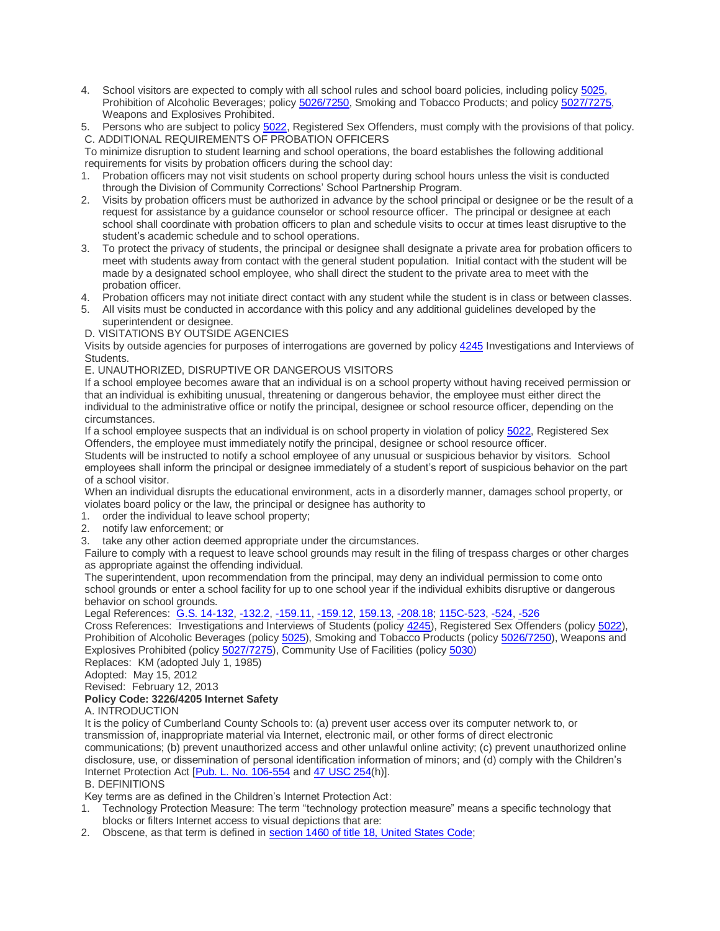- 4. School visitors are expected to comply with all school rules and school board policies, including policy [5025,](https://boardpolicyonline.com/bl/?b=cumberland&s=127932) Prohibition of Alcoholic Beverages; policy [5026/7250,](https://boardpolicyonline.com/bl/?b=cumberland&s=127933) Smoking and Tobacco Products; and policy [5027/7275,](https://boardpolicyonline.com/bl/?b=cumberland&s=127934) Weapons and Explosives Prohibited.
- 5. Persons who are subject to policy [5022,](https://boardpolicyonline.com/bl/?b=cumberland&s=127930) Registered Sex Offenders, must comply with the provisions of that policy. C. ADDITIONAL REQUIREMENTS OF PROBATION OFFICERS

To minimize disruption to student learning and school operations, the board establishes the following additional requirements for visits by probation officers during the school day:

- 1. Probation officers may not visit students on school property during school hours unless the visit is conducted through the Division of Community Corrections' School Partnership Program.
- 2. Visits by probation officers must be authorized in advance by the school principal or designee or be the result of a request for assistance by a guidance counselor or school resource officer. The principal or designee at each school shall coordinate with probation officers to plan and schedule visits to occur at times least disruptive to the student's academic schedule and to school operations.
- 3. To protect the privacy of students, the principal or designee shall designate a private area for probation officers to meet with students away from contact with the general student population. Initial contact with the student will be made by a designated school employee, who shall direct the student to the private area to meet with the probation officer.
- Probation officers may not initiate direct contact with any student while the student is in class or between classes.
- 5. All visits must be conducted in accordance with this policy and any additional guidelines developed by the superintendent or designee.

D. VISITATIONS BY OUTSIDE AGENCIES

Visits by outside agencies for purposes of interrogations are governed by policy [4245](https://boardpolicyonline.com/bl/?b=cumberland&s=127871) Investigations and Interviews of Students.

E. UNAUTHORIZED, DISRUPTIVE OR DANGEROUS VISITORS

If a school employee becomes aware that an individual is on a school property without having received permission or that an individual is exhibiting unusual, threatening or dangerous behavior, the employee must either direct the individual to the administrative office or notify the principal, designee or school resource officer, depending on the circumstances.

If a school employee suspects that an individual is on school property in violation of policy [5022,](https://boardpolicyonline.com/bl/?b=cumberland&s=127930) Registered Sex Offenders, the employee must immediately notify the principal, designee or school resource officer.

Students will be instructed to notify a school employee of any unusual or suspicious behavior by visitors. School employees shall inform the principal or designee immediately of a student's report of suspicious behavior on the part of a school visitor.

When an individual disrupts the educational environment, acts in a disorderly manner, damages school property, or violates board policy or the law, the principal or designee has authority to

- 1. order the individual to leave school property;
- 2. notify law enforcement; or
- 3. take any other action deemed appropriate under the circumstances.

Failure to comply with a request to leave school grounds may result in the filing of trespass charges or other charges as appropriate against the offending individual.

The superintendent, upon recommendation from the principal, may deny an individual permission to come onto school grounds or enter a school facility for up to one school year if the individual exhibits disruptive or dangerous behavior on school grounds.

Legal References: [G.S. 14-132,](https://www.ncleg.net/EnactedLegislation/Statutes/HTML/BySection/Chapter_14/GS_14-132.html) [-132.2,](https://www.ncleg.net/EnactedLegislation/Statutes/HTML/BySection/Chapter_14/GS_14-132.2.html) [-159.11,](https://www.ncleg.net/EnactedLegislation/Statutes/HTML/BySection/Chapter_14/GS_14-159.11.html) [-159.12,](https://www.ncleg.net/EnactedLegislation/Statutes/HTML/BySection/Chapter_14/GS_14-159.11.html) [159.13,](https://www.ncleg.net/EnactedLegislation/Statutes/HTML/BySection/Chapter_14/GS_14-159.13.html) [-208.18;](https://www.ncleg.net/EnactedLegislation/Statutes/HTML/BySection/Chapter_14/GS_14-208.18.html) [115C-523,](https://www.ncleg.net/EnactedLegislation/Statutes/HTML/BySection/Chapter_115C/GS_115C-523.html) [-524,](https://www.ncleg.net/EnactedLegislation/Statutes/HTML/BySection/Chapter_115C/GS_115C-524.html) [-526](https://www.ncleg.net/EnactedLegislation/Statutes/HTML/BySection/Chapter_115C/GS_115C-526.html)

Cross References: Investigations and Interviews of Students (policy [4245\)](https://boardpolicyonline.com/bl/?b=cumberland&s=127871), Registered Sex Offenders (policy [5022\)](https://boardpolicyonline.com/bl/?b=cumberland&s=127930), Prohibition of Alcoholic Beverages (policy [5025\)](https://boardpolicyonline.com/bl/?b=cumberland&s=127932), Smoking and Tobacco Products (policy [5026/7250\)](https://boardpolicyonline.com/bl/?b=cumberland&s=127933), Weapons and Explosives Prohibited (policy [5027/7275\)](https://boardpolicyonline.com/bl/?b=cumberland&s=127934), Community Use of Facilities (policy [5030\)](https://boardpolicyonline.com/bl/?b=cumberland&s=127937)

Replaces: KM (adopted July 1, 1985)

Adopted: May 15, 2012

Revised: February 12, 2013

## **Policy Code: 3226/4205 Internet Safety**

## A. INTRODUCTION

It is the policy of Cumberland County Schools to: (a) prevent user access over its computer network to, or transmission of, inappropriate material via Internet, electronic mail, or other forms of direct electronic communications; (b) prevent unauthorized access and other unlawful online activity; (c) prevent unauthorized online disclosure, use, or dissemination of personal identification information of minors; and (d) comply with the Children's Internet Protection Act [\[Pub. L. No. 106-554](http://redirector.microscribepub.com/?cat=pub&loc=us&id=106-554) and [47 USC 254\(](http://redirector.microscribepub.com/?loc=US&cat=usc&id=47-254)h)].

## B. DEFINITIONS

Key terms are as defined in the Children's Internet Protection Act:

- 1. Technology Protection Measure: The term "technology protection measure" means a specific technology that blocks or filters Internet access to visual depictions that are:
- 2. Obscene, as that term is defined in [section 1460 of title 18, United States Code;](http://redirector.microscribepub.com/?loc=us&cat=usc&id=18-1460)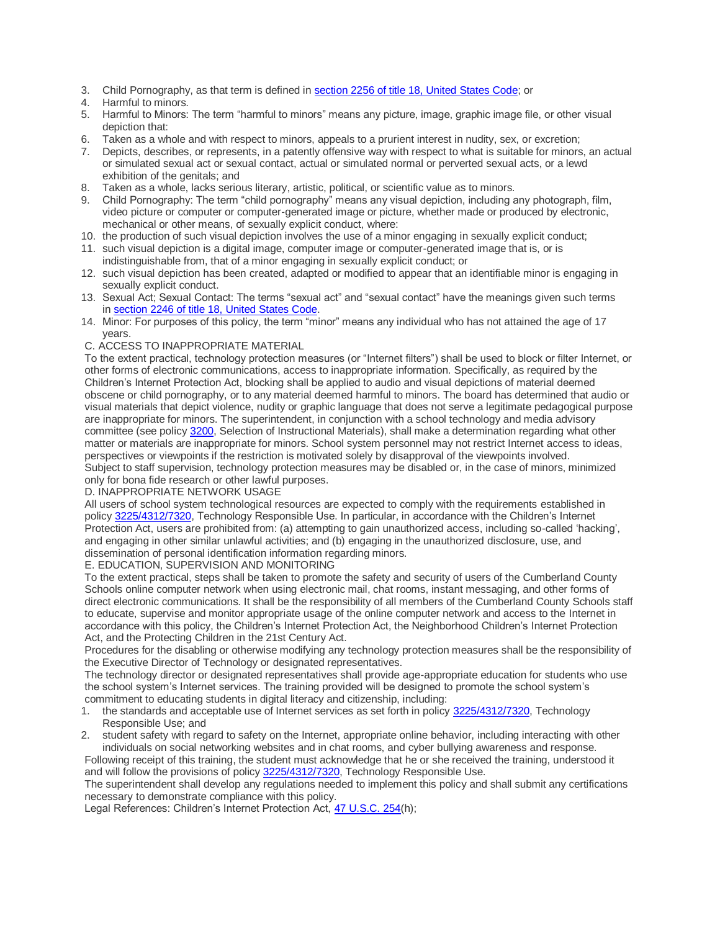- 3. Child Pornography, as that term is defined in [section 2256 of title 18, United States Code;](http://redirector.microscribepub.com/?loc=us&cat=usc&id=18-2256) or
- 4. Harmful to minors.
- 5. Harmful to Minors: The term "harmful to minors" means any picture, image, graphic image file, or other visual depiction that:
- 6. Taken as a whole and with respect to minors, appeals to a prurient interest in nudity, sex, or excretion;
- 7. Depicts, describes, or represents, in a patently offensive way with respect to what is suitable for minors, an actual or simulated sexual act or sexual contact, actual or simulated normal or perverted sexual acts, or a lewd exhibition of the genitals; and
- 8. Taken as a whole, lacks serious literary, artistic, political, or scientific value as to minors.
- 9. Child Pornography: The term "child pornography" means any visual depiction, including any photograph, film, video picture or computer or computer-generated image or picture, whether made or produced by electronic, mechanical or other means, of sexually explicit conduct, where:
- 10. the production of such visual depiction involves the use of a minor engaging in sexually explicit conduct;
- 11. such visual depiction is a digital image, computer image or computer-generated image that is, or is indistinguishable from, that of a minor engaging in sexually explicit conduct; or
- 12. such visual depiction has been created, adapted or modified to appear that an identifiable minor is engaging in sexually explicit conduct.
- 13. Sexual Act; Sexual Contact: The terms "sexual act" and "sexual contact" have the meanings given such terms in [section 2246 of title 18, United States Code.](http://redirector.microscribepub.com/?loc=us&cat=usc&id=18-2246)
- 14. Minor: For purposes of this policy, the term "minor" means any individual who has not attained the age of 17 years.
- C. ACCESS TO INAPPROPRIATE MATERIAL

To the extent practical, technology protection measures (or "Internet filters") shall be used to block or filter Internet, or other forms of electronic communications, access to inappropriate information. Specifically, as required by the Children's Internet Protection Act, blocking shall be applied to audio and visual depictions of material deemed obscene or child pornography, or to any material deemed harmful to minors. The board has determined that audio or visual materials that depict violence, nudity or graphic language that does not serve a legitimate pedagogical purpose are inappropriate for minors. The superintendent, in conjunction with a school technology and media advisory committee (see policy [3200,](https://boardpolicyonline.com/bl/?b=cumberland&s=127775) Selection of Instructional Materials), shall make a determination regarding what other matter or materials are inappropriate for minors. School system personnel may not restrict Internet access to ideas, perspectives or viewpoints if the restriction is motivated solely by disapproval of the viewpoints involved. Subject to staff supervision, technology protection measures may be disabled or, in the case of minors, minimized only for bona fide research or other lawful purposes.

## D. INAPPROPRIATE NETWORK USAGE

All users of school system technological resources are expected to comply with the requirements established in policy [3225/4312/7320,](https://boardpolicyonline.com/bl/?b=cumberland&s=127779) Technology Responsible Use. In particular, in accordance with the Children's Internet Protection Act, users are prohibited from: (a) attempting to gain unauthorized access, including so-called 'hacking', and engaging in other similar unlawful activities; and (b) engaging in the unauthorized disclosure, use, and dissemination of personal identification information regarding minors.

E. EDUCATION, SUPERVISION AND MONITORING

To the extent practical, steps shall be taken to promote the safety and security of users of the Cumberland County Schools online computer network when using electronic mail, chat rooms, instant messaging, and other forms of direct electronic communications. It shall be the responsibility of all members of the Cumberland County Schools staff to educate, supervise and monitor appropriate usage of the online computer network and access to the Internet in accordance with this policy, the Children's Internet Protection Act, the Neighborhood Children's Internet Protection Act, and the Protecting Children in the 21st Century Act.

Procedures for the disabling or otherwise modifying any technology protection measures shall be the responsibility of the Executive Director of Technology or designated representatives.

The technology director or designated representatives shall provide age-appropriate education for students who use the school system's Internet services. The training provided will be designed to promote the school system's commitment to educating students in digital literacy and citizenship, including:

- 1. the standards and acceptable use of Internet services as set forth in policy [3225/4312/7320,](https://boardpolicyonline.com/bl/?b=cumberland&s=127779) Technology Responsible Use; and
- 2. student safety with regard to safety on the Internet, appropriate online behavior, including interacting with other individuals on social networking websites and in chat rooms, and cyber bullying awareness and response.

Following receipt of this training, the student must acknowledge that he or she received the training, understood it and will follow the provisions of policy [3225/4312/7320,](https://boardpolicyonline.com/bl/?b=cumberland&s=127779) Technology Responsible Use.

The superintendent shall develop any regulations needed to implement this policy and shall submit any certifications necessary to demonstrate compliance with this policy.

Legal References: Children's Internet Protection Act, [47 U.S.C. 254\(](http://redirector.microscribepub.com/?loc=US&cat=usc&id=47-254)h);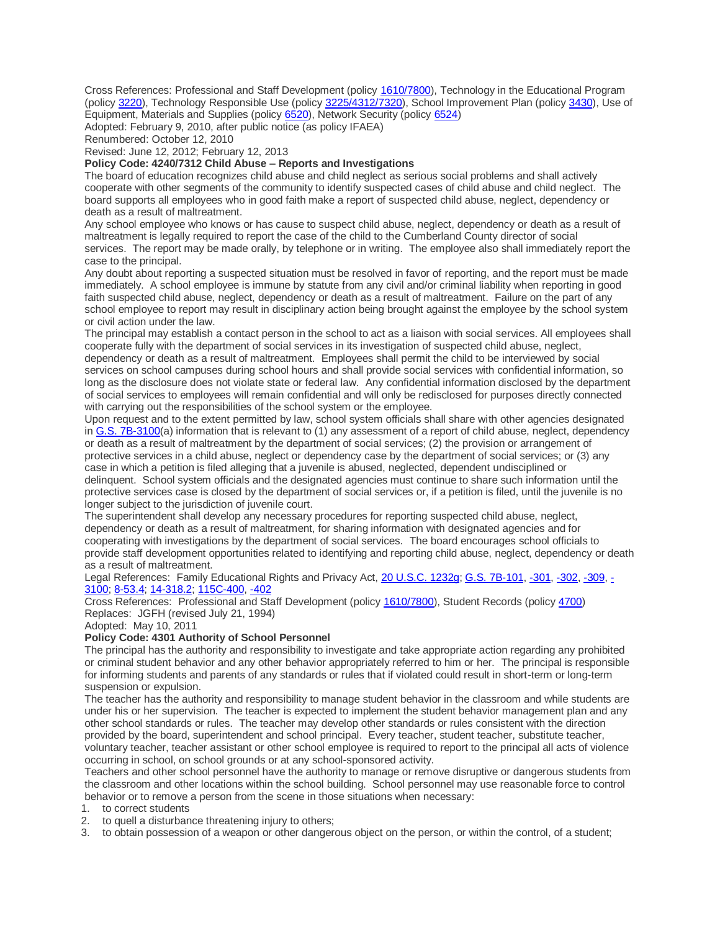Cross References: Professional and Staff Development (policy [1610/7800\)](https://boardpolicyonline.com/bl/?b=cumberland&s=127710), Technology in the Educational Program (policy [3220\)](https://boardpolicyonline.com/bl/?b=cumberland&s=127778), Technology Responsible Use (policy [3225/4312/7320\)](https://boardpolicyonline.com/bl/?b=cumberland&s=127779), School Improvement Plan (policy [3430\)](https://boardpolicyonline.com/bl/?b=cumberland&s=127801), Use of Equipment, Materials and Supplies (policy [6520\)](https://boardpolicyonline.com/bl/?b=cumberland&s=128003), Network Security (policy [6524\)](https://boardpolicyonline.com/bl/?b=cumberland&s=128005)

Adopted: February 9, 2010, after public notice (as policy IFAEA)

Renumbered: October 12, 2010

Revised: June 12, 2012; February 12, 2013

#### **Policy Code: 4240/7312 Child Abuse – Reports and Investigations**

The board of education recognizes child abuse and child neglect as serious social problems and shall actively cooperate with other segments of the community to identify suspected cases of child abuse and child neglect. The board supports all employees who in good faith make a report of suspected child abuse, neglect, dependency or death as a result of maltreatment.

Any school employee who knows or has cause to suspect child abuse, neglect, dependency or death as a result of maltreatment is legally required to report the case of the child to the Cumberland County director of social services. The report may be made orally, by telephone or in writing. The employee also shall immediately report the case to the principal.

Any doubt about reporting a suspected situation must be resolved in favor of reporting, and the report must be made immediately. A school employee is immune by statute from any civil and/or criminal liability when reporting in good faith suspected child abuse, neglect, dependency or death as a result of maltreatment. Failure on the part of any school employee to report may result in disciplinary action being brought against the employee by the school system or civil action under the law.

The principal may establish a contact person in the school to act as a liaison with social services. All employees shall cooperate fully with the department of social services in its investigation of suspected child abuse, neglect, dependency or death as a result of maltreatment. Employees shall permit the child to be interviewed by social services on school campuses during school hours and shall provide social services with confidential information, so long as the disclosure does not violate state or federal law. Any confidential information disclosed by the department of social services to employees will remain confidential and will only be redisclosed for purposes directly connected with carrying out the responsibilities of the school system or the employee.

Upon request and to the extent permitted by law, school system officials shall share with other agencies designated in [G.S. 7B-3100\(](http://redirector.microscribepub.com/?cat=stat&loc=nc&id=7b&spec=3100)a) information that is relevant to (1) any assessment of a report of child abuse, neglect, dependency or death as a result of maltreatment by the department of social services; (2) the provision or arrangement of protective services in a child abuse, neglect or dependency case by the department of social services; or (3) any case in which a petition is filed alleging that a juvenile is abused, neglected, dependent undisciplined or delinquent. School system officials and the designated agencies must continue to share such information until the protective services case is closed by the department of social services or, if a petition is filed, until the juvenile is no longer subject to the jurisdiction of juvenile court.

The superintendent shall develop any necessary procedures for reporting suspected child abuse, neglect, dependency or death as a result of maltreatment, for sharing information with designated agencies and for cooperating with investigations by the department of social services. The board encourages school officials to provide staff development opportunities related to identifying and reporting child abuse, neglect, dependency or death as a result of maltreatment.

Legal References: Family Educational Rights and Privacy Act, [20 U.S.C. 1232g;](http://redirector.microscribepub.com/?loc=US&cat=usc&id=20-1232g) [G.S. 7B-101,](http://redirector.microscribepub.com/?cat=stat&loc=nc&id=7b&spec=101) [-301,](http://redirector.microscribepub.com/?cat=stat&loc=nc&id=7b&spec=301) [-302,](http://redirector.microscribepub.com/?cat=stat&loc=nc&id=7b&spec=302) [-309,](http://redirector.microscribepub.com/?cat=stat&loc=nc&id=7b&spec=309) [-](http://redirector.microscribepub.com/?cat=stat&loc=nc&id=7b&spec=3100) [3100;](http://redirector.microscribepub.com/?cat=stat&loc=nc&id=7b&spec=3100) [8-53.4;](http://redirector.microscribepub.com/?cat=stat&loc=nc&id=8&spec=53.4) [14-318.2;](http://redirector.microscribepub.com/?cat=stat&loc=nc&id=14&spec=318.2) [115C-400,](http://redirector.microscribepub.com/?cat=stat&loc=nc&id=115c&spec=400) [-402](http://redirector.microscribepub.com/?cat=stat&loc=nc&id=115c&spec=402)

Cross References: Professional and Staff Development (policy [1610/7800\)](https://boardpolicyonline.com/bl/?b=cumberland&s=127710), Student Records (policy [4700\)](https://boardpolicyonline.com/bl/?b=cumberland&s=127919) Replaces: JGFH (revised July 21, 1994)

Adopted: May 10, 2011

## **Policy Code: 4301 Authority of School Personnel**

The principal has the authority and responsibility to investigate and take appropriate action regarding any prohibited or criminal student behavior and any other behavior appropriately referred to him or her. The principal is responsible for informing students and parents of any standards or rules that if violated could result in short-term or long-term suspension or expulsion.

The teacher has the authority and responsibility to manage student behavior in the classroom and while students are under his or her supervision. The teacher is expected to implement the student behavior management plan and any other school standards or rules. The teacher may develop other standards or rules consistent with the direction provided by the board, superintendent and school principal. Every teacher, student teacher, substitute teacher, voluntary teacher, teacher assistant or other school employee is required to report to the principal all acts of violence occurring in school, on school grounds or at any school-sponsored activity.

Teachers and other school personnel have the authority to manage or remove disruptive or dangerous students from the classroom and other locations within the school building. School personnel may use reasonable force to control behavior or to remove a person from the scene in those situations when necessary:

1. to correct students

- 2. to quell a disturbance threatening injury to others;
- 3. to obtain possession of a weapon or other dangerous object on the person, or within the control, of a student;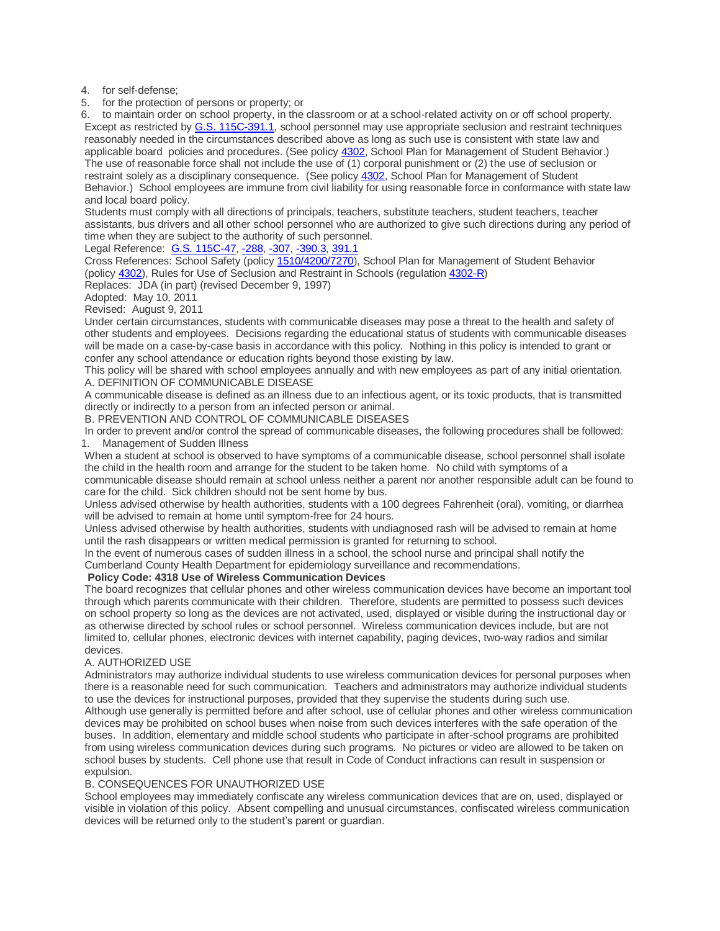4. for self-defense;

5. for the protection of persons or property; or

6. to maintain order on school property, in the classroom or at a school-related activity on or off school property. Except as restricted by [G.S. 115C-391.1,](http://redirector.microscribepub.com/?cat=stat&loc=nc&id=115c&spec=391.1) school personnel may use appropriate seclusion and restraint techniques reasonably needed in the circumstances described above as long as such use is consistent with state law and applicable board policies and procedures. (See policy [4302,](https://boardpolicyonline.com/bl/?b=cumberland&s=127878) School Plan for Management of Student Behavior.) The use of reasonable force shall not include the use of (1) corporal punishment or (2) the use of seclusion or restraint solely as a disciplinary consequence. (See policy [4302,](https://boardpolicyonline.com/bl/?b=cumberland&s=127878) School Plan for Management of Student Behavior.) School employees are immune from civil liability for using reasonable force in conformance with state law and local board policy.

Students must comply with all directions of principals, teachers, substitute teachers, student teachers, teacher assistants, bus drivers and all other school personnel who are authorized to give such directions during any period of time when they are subject to the authority of such personnel.

Legal Reference: [G.S. 115C-47,](http://redirector.microscribepub.com/?cat=stat&loc=nc&id=115c&spec=47) [-288,](http://redirector.microscribepub.com/?cat=stat&loc=nc&id=115c&spec=288) [-307,](http://redirector.microscribepub.com/?cat=stat&loc=nc&id=115c&spec=307) [-390.3,](http://redirector.microscribepub.com/?cat=stat&loc=nc&id=115c&spec=390.3) [391.1](http://redirector.microscribepub.com/?cat=stat&loc=nc&id=115c&spec=391.1)

Cross References: School Safety (policy [1510/4200/7270\)](https://boardpolicyonline.com/bl/?b=cumberland&s=127707), School Plan for Management of Student Behavior (policy [4302\)](https://boardpolicyonline.com/bl/?b=cumberland&s=127878), Rules for Use of Seclusion and Restraint in Schools (regulation [4302-R\)](https://boardpolicyonline.com/bl/?b=cumberland&s=127879)

Replaces: JDA (in part) (revised December 9, 1997)

Adopted: May 10, 2011

Revised: August 9, 2011

Under certain circumstances, students with communicable diseases may pose a threat to the health and safety of other students and employees. Decisions regarding the educational status of students with communicable diseases will be made on a case-by-case basis in accordance with this policy. Nothing in this policy is intended to grant or confer any school attendance or education rights beyond those existing by law.

This policy will be shared with school employees annually and with new employees as part of any initial orientation. A. DEFINITION OF COMMUNICABLE DISEASE

A communicable disease is defined as an illness due to an infectious agent, or its toxic products, that is transmitted directly or indirectly to a person from an infected person or animal.

B. PREVENTION AND CONTROL OF COMMUNICABLE DISEASES

In order to prevent and/or control the spread of communicable diseases, the following procedures shall be followed: 1. Management of Sudden Illness

When a student at school is observed to have symptoms of a communicable disease, school personnel shall isolate the child in the health room and arrange for the student to be taken home. No child with symptoms of a communicable disease should remain at school unless neither a parent nor another responsible adult can be found to

care for the child. Sick children should not be sent home by bus. Unless advised otherwise by health authorities, students with a 100 degrees Fahrenheit (oral), vomiting, or diarrhea will be advised to remain at home until symptom-free for 24 hours.

Unless advised otherwise by health authorities, students with undiagnosed rash will be advised to remain at home until the rash disappears or written medical permission is granted for returning to school.

In the event of numerous cases of sudden illness in a school, the school nurse and principal shall notify the Cumberland County Health Department for epidemiology surveillance and recommendations.

## **Policy Code: 4318 Use of Wireless Communication Devices**

The board recognizes that cellular phones and other wireless communication devices have become an important tool through which parents communicate with their children. Therefore, students are permitted to possess such devices on school property so long as the devices are not activated, used, displayed or visible during the instructional day or as otherwise directed by school rules or school personnel. Wireless communication devices include, but are not limited to, cellular phones, electronic devices with internet capability, paging devices, two-way radios and similar devices.

## A. AUTHORIZED USE

Administrators may authorize individual students to use wireless communication devices for personal purposes when there is a reasonable need for such communication. Teachers and administrators may authorize individual students to use the devices for instructional purposes, provided that they supervise the students during such use.

Although use generally is permitted before and after school, use of cellular phones and other wireless communication devices may be prohibited on school buses when noise from such devices interferes with the safe operation of the buses. In addition, elementary and middle school students who participate in after-school programs are prohibited from using wireless communication devices during such programs. No pictures or video are allowed to be taken on school buses by students. Cell phone use that result in Code of Conduct infractions can result in suspension or expulsion.

#### B. CONSEQUENCES FOR UNAUTHORIZED USE

School employees may immediately confiscate any wireless communication devices that are on, used, displayed or visible in violation of this policy. Absent compelling and unusual circumstances, confiscated wireless communication devices will be returned only to the student's parent or guardian.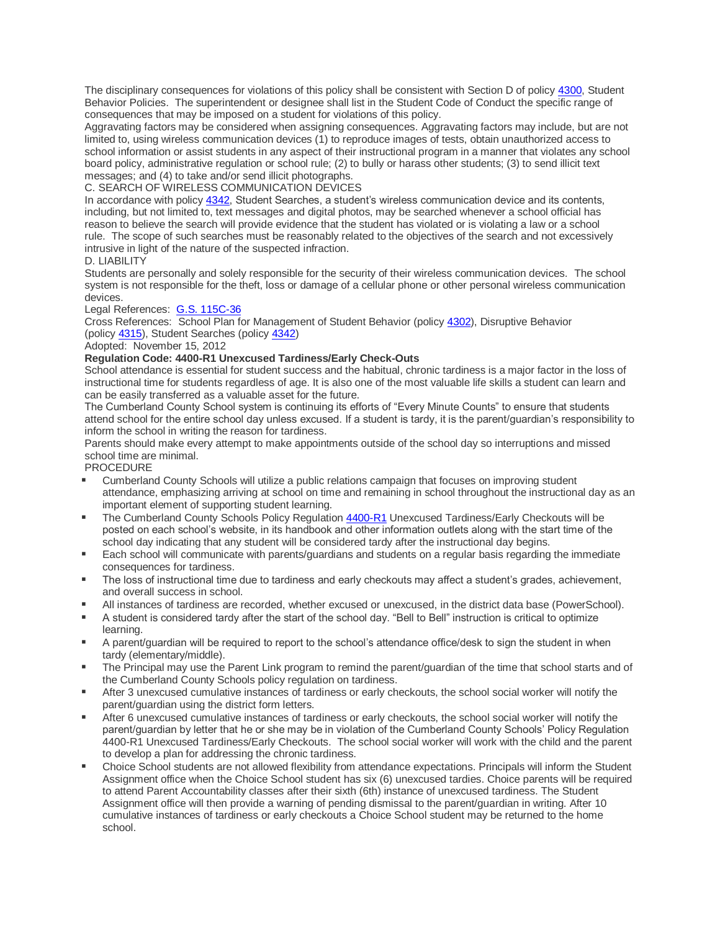The disciplinary consequences for violations of this policy shall be consistent with Section D of policy [4300,](https://boardpolicyonline.com/bl/?b=cumberland&s=127875) Student Behavior Policies. The superintendent or designee shall list in the Student Code of Conduct the specific range of consequences that may be imposed on a student for violations of this policy.

Aggravating factors may be considered when assigning consequences. Aggravating factors may include, but are not limited to, using wireless communication devices (1) to reproduce images of tests, obtain unauthorized access to school information or assist students in any aspect of their instructional program in a manner that violates any school board policy, administrative regulation or school rule; (2) to bully or harass other students; (3) to send illicit text messages; and (4) to take and/or send illicit photographs.

C. SEARCH OF WIRELESS COMMUNICATION DEVICES

In accordance with policy [4342,](https://boardpolicyonline.com/bl/?b=cumberland&s=127905) Student Searches, a student's wireless communication device and its contents, including, but not limited to, text messages and digital photos, may be searched whenever a school official has reason to believe the search will provide evidence that the student has violated or is violating a law or a school rule. The scope of such searches must be reasonably related to the objectives of the search and not excessively intrusive in light of the nature of the suspected infraction.

## D. LIABILITY

Students are personally and solely responsible for the security of their wireless communication devices. The school system is not responsible for the theft, loss or damage of a cellular phone or other personal wireless communication devices.

## Legal References: [G.S. 115C-36](http://redirector.microscribepub.com/?cat=stat&loc=nc&id=115c&spec=36)

Cross References: School Plan for Management of Student Behavior (policy [4302\)](https://boardpolicyonline.com/bl/?b=cumberland&s=127878), Disruptive Behavior (policy [4315\)](https://boardpolicyonline.com/bl/?b=cumberland&s=127889), Student Searches (policy [4342\)](https://boardpolicyonline.com/bl/?b=cumberland&s=127905)

## Adopted: November 15, 2012

## **Regulation Code: 4400-R1 Unexcused Tardiness/Early Check-Outs**

School attendance is essential for student success and the habitual, chronic tardiness is a major factor in the loss of instructional time for students regardless of age. It is also one of the most valuable life skills a student can learn and can be easily transferred as a valuable asset for the future.

The Cumberland County School system is continuing its efforts of "Every Minute Counts" to ensure that students attend school for the entire school day unless excused. If a student is tardy, it is the parent/guardian's responsibility to inform the school in writing the reason for tardiness.

Parents should make every attempt to make appointments outside of the school day so interruptions and missed school time are minimal.

PROCEDURE

- Cumberland County Schools will utilize a public relations campaign that focuses on improving student attendance, emphasizing arriving at school on time and remaining in school throughout the instructional day as an important element of supporting student learning.
- The Cumberland County Schools Policy Regulation [4400-R1](https://boardpolicyonline.com/bl/?b=cumberland&s=127916) Unexcused Tardiness/Early Checkouts will be posted on each school's website, in its handbook and other information outlets along with the start time of the school day indicating that any student will be considered tardy after the instructional day begins.
- **Each school will communicate with parents/guardians and students on a regular basis regarding the immediate** consequences for tardiness.
- **The loss of instructional time due to tardiness and early checkouts may affect a student's grades, achievement,** and overall success in school.
- All instances of tardiness are recorded, whether excused or unexcused, in the district data base (PowerSchool).
- A student is considered tardy after the start of the school day. "Bell to Bell" instruction is critical to optimize learning.
- A parent/guardian will be required to report to the school's attendance office/desk to sign the student in when tardy (elementary/middle).
- The Principal may use the Parent Link program to remind the parent/guardian of the time that school starts and of the Cumberland County Schools policy regulation on tardiness.
- After 3 unexcused cumulative instances of tardiness or early checkouts, the school social worker will notify the parent/guardian using the district form letters.
- After 6 unexcused cumulative instances of tardiness or early checkouts, the school social worker will notify the parent/guardian by letter that he or she may be in violation of the Cumberland County Schools' Policy Regulation 4400-R1 Unexcused Tardiness/Early Checkouts. The school social worker will work with the child and the parent to develop a plan for addressing the chronic tardiness.
- Choice School students are not allowed flexibility from attendance expectations. Principals will inform the Student Assignment office when the Choice School student has six (6) unexcused tardies. Choice parents will be required to attend Parent Accountability classes after their sixth (6th) instance of unexcused tardiness. The Student Assignment office will then provide a warning of pending dismissal to the parent/guardian in writing. After 10 cumulative instances of tardiness or early checkouts a Choice School student may be returned to the home school.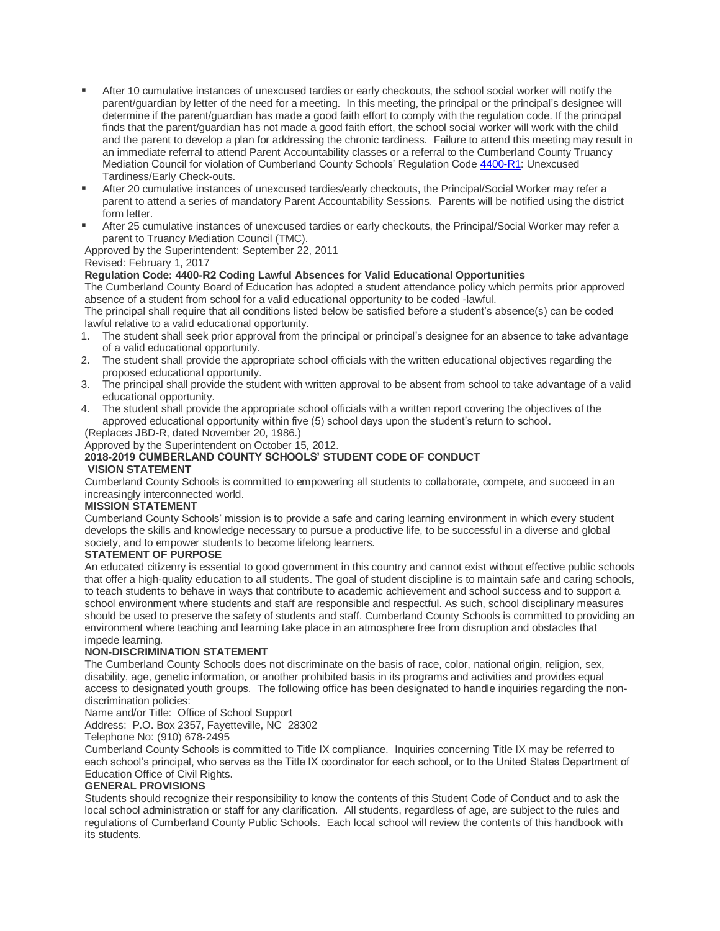- After 10 cumulative instances of unexcused tardies or early checkouts, the school social worker will notify the parent/guardian by letter of the need for a meeting. In this meeting, the principal or the principal's designee will determine if the parent/guardian has made a good faith effort to comply with the regulation code. If the principal finds that the parent/guardian has not made a good faith effort, the school social worker will work with the child and the parent to develop a plan for addressing the chronic tardiness. Failure to attend this meeting may result in an immediate referral to attend Parent Accountability classes or a referral to the Cumberland County Truancy Mediation Council for violation of Cumberland County Schools' Regulation Code [4400-R1:](https://boardpolicyonline.com/bl/?b=cumberland&s=127916) Unexcused Tardiness/Early Check-outs.
- After 20 cumulative instances of unexcused tardies/early checkouts, the Principal/Social Worker may refer a parent to attend a series of mandatory Parent Accountability Sessions. Parents will be notified using the district form letter.
- After 25 cumulative instances of unexcused tardies or early checkouts, the Principal/Social Worker may refer a parent to Truancy Mediation Council (TMC).

Approved by the Superintendent: September 22, 2011

## Revised: February 1, 2017

## **Regulation Code: 4400-R2 Coding Lawful Absences for Valid Educational Opportunities**

The Cumberland County Board of Education has adopted a student attendance policy which permits prior approved absence of a student from school for a valid educational opportunity to be coded -lawful.

The principal shall require that all conditions listed below be satisfied before a student's absence(s) can be coded lawful relative to a valid educational opportunity.

- 1. The student shall seek prior approval from the principal or principal's designee for an absence to take advantage of a valid educational opportunity.
- 2. The student shall provide the appropriate school officials with the written educational objectives regarding the proposed educational opportunity.
- 3. The principal shall provide the student with written approval to be absent from school to take advantage of a valid educational opportunity.
- 4. The student shall provide the appropriate school officials with a written report covering the objectives of the approved educational opportunity within five (5) school days upon the student's return to school. (Replaces JBD-R, dated November 20, 1986.)

Approved by the Superintendent on October 15, 2012.

# **2018-2019 CUMBERLAND COUNTY SCHOOLS' STUDENT CODE OF CONDUCT**

## **VISION STATEMENT**

Cumberland County Schools is committed to empowering all students to collaborate, compete, and succeed in an increasingly interconnected world.

## **MISSION STATEMENT**

Cumberland County Schools' mission is to provide a safe and caring learning environment in which every student develops the skills and knowledge necessary to pursue a productive life, to be successful in a diverse and global society, and to empower students to become lifelong learners.

# **STATEMENT OF PURPOSE**

An educated citizenry is essential to good government in this country and cannot exist without effective public schools that offer a high-quality education to all students. The goal of student discipline is to maintain safe and caring schools, to teach students to behave in ways that contribute to academic achievement and school success and to support a school environment where students and staff are responsible and respectful. As such, school disciplinary measures should be used to preserve the safety of students and staff. Cumberland County Schools is committed to providing an environment where teaching and learning take place in an atmosphere free from disruption and obstacles that impede learning.

## **NON-DISCRIMINATION STATEMENT**

The Cumberland County Schools does not discriminate on the basis of race, color, national origin, religion, sex, disability, age, genetic information, or another prohibited basis in its programs and activities and provides equal access to designated youth groups. The following office has been designated to handle inquiries regarding the nondiscrimination policies:

Name and/or Title: Office of School Support

Address: P.O. Box 2357, Fayetteville, NC 28302

Telephone No: (910) 678-2495

Cumberland County Schools is committed to Title IX compliance. Inquiries concerning Title IX may be referred to each school's principal, who serves as the Title IX coordinator for each school, or to the United States Department of Education Office of Civil Rights.

## **GENERAL PROVISIONS**

Students should recognize their responsibility to know the contents of this Student Code of Conduct and to ask the local school administration or staff for any clarification. All students, regardless of age, are subject to the rules and regulations of Cumberland County Public Schools. Each local school will review the contents of this handbook with its students.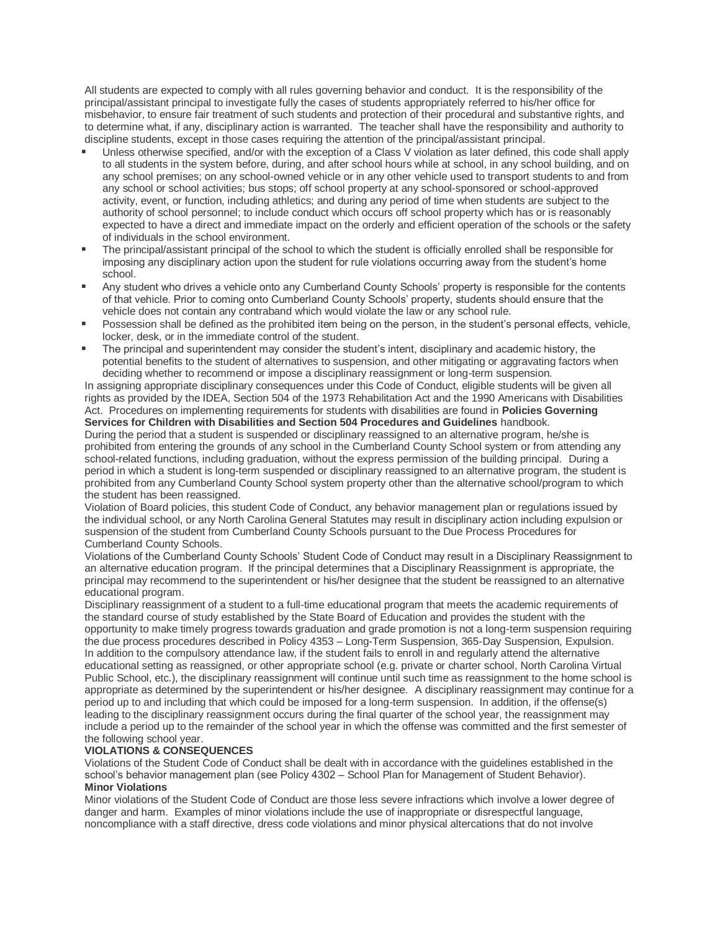All students are expected to comply with all rules governing behavior and conduct. It is the responsibility of the principal/assistant principal to investigate fully the cases of students appropriately referred to his/her office for misbehavior, to ensure fair treatment of such students and protection of their procedural and substantive rights, and to determine what, if any, disciplinary action is warranted. The teacher shall have the responsibility and authority to discipline students, except in those cases requiring the attention of the principal/assistant principal.

- Unless otherwise specified, and/or with the exception of a Class V violation as later defined, this code shall apply to all students in the system before, during, and after school hours while at school, in any school building, and on any school premises; on any school-owned vehicle or in any other vehicle used to transport students to and from any school or school activities; bus stops; off school property at any school-sponsored or school-approved activity, event, or function, including athletics; and during any period of time when students are subject to the authority of school personnel; to include conduct which occurs off school property which has or is reasonably expected to have a direct and immediate impact on the orderly and efficient operation of the schools or the safety of individuals in the school environment.
- The principal/assistant principal of the school to which the student is officially enrolled shall be responsible for imposing any disciplinary action upon the student for rule violations occurring away from the student's home school.
- Any student who drives a vehicle onto any Cumberland County Schools' property is responsible for the contents of that vehicle. Prior to coming onto Cumberland County Schools' property, students should ensure that the vehicle does not contain any contraband which would violate the law or any school rule.
- **Possession shall be defined as the prohibited item being on the person, in the student's personal effects, vehicle,** locker, desk, or in the immediate control of the student.
- The principal and superintendent may consider the student's intent, disciplinary and academic history, the potential benefits to the student of alternatives to suspension, and other mitigating or aggravating factors when deciding whether to recommend or impose a disciplinary reassignment or long-term suspension.

In assigning appropriate disciplinary consequences under this Code of Conduct, eligible students will be given all rights as provided by the IDEA, Section 504 of the 1973 Rehabilitation Act and the 1990 Americans with Disabilities Act. Procedures on implementing requirements for students with disabilities are found in **Policies Governing** 

**Services for Children with Disabilities and Section 504 Procedures and Guidelines** handbook. During the period that a student is suspended or disciplinary reassigned to an alternative program, he/she is prohibited from entering the grounds of any school in the Cumberland County School system or from attending any school-related functions, including graduation, without the express permission of the building principal. During a period in which a student is long-term suspended or disciplinary reassigned to an alternative program, the student is prohibited from any Cumberland County School system property other than the alternative school/program to which the student has been reassigned.

Violation of Board policies, this student Code of Conduct, any behavior management plan or regulations issued by the individual school, or any North Carolina General Statutes may result in disciplinary action including expulsion or suspension of the student from Cumberland County Schools pursuant to the Due Process Procedures for Cumberland County Schools.

Violations of the Cumberland County Schools' Student Code of Conduct may result in a Disciplinary Reassignment to an alternative education program. If the principal determines that a Disciplinary Reassignment is appropriate, the principal may recommend to the superintendent or his/her designee that the student be reassigned to an alternative educational program.

Disciplinary reassignment of a student to a full-time educational program that meets the academic requirements of the standard course of study established by the State Board of Education and provides the student with the opportunity to make timely progress towards graduation and grade promotion is not a long-term suspension requiring the due process procedures described in Policy 4353 – Long-Term Suspension, 365-Day Suspension, Expulsion. In addition to the compulsory attendance law, if the student fails to enroll in and regularly attend the alternative educational setting as reassigned, or other appropriate school (e.g. private or charter school, North Carolina Virtual Public School, etc.), the disciplinary reassignment will continue until such time as reassignment to the home school is appropriate as determined by the superintendent or his/her designee. A disciplinary reassignment may continue for a period up to and including that which could be imposed for a long-term suspension. In addition, if the offense(s) leading to the disciplinary reassignment occurs during the final quarter of the school year, the reassignment may include a period up to the remainder of the school year in which the offense was committed and the first semester of the following school year.

## **VIOLATIONS & CONSEQUENCES**

Violations of the Student Code of Conduct shall be dealt with in accordance with the guidelines established in the school's behavior management plan (see Policy 4302 – School Plan for Management of Student Behavior). **Minor Violations**

Minor violations of the Student Code of Conduct are those less severe infractions which involve a lower degree of danger and harm. Examples of minor violations include the use of inappropriate or disrespectful language, noncompliance with a staff directive, dress code violations and minor physical altercations that do not involve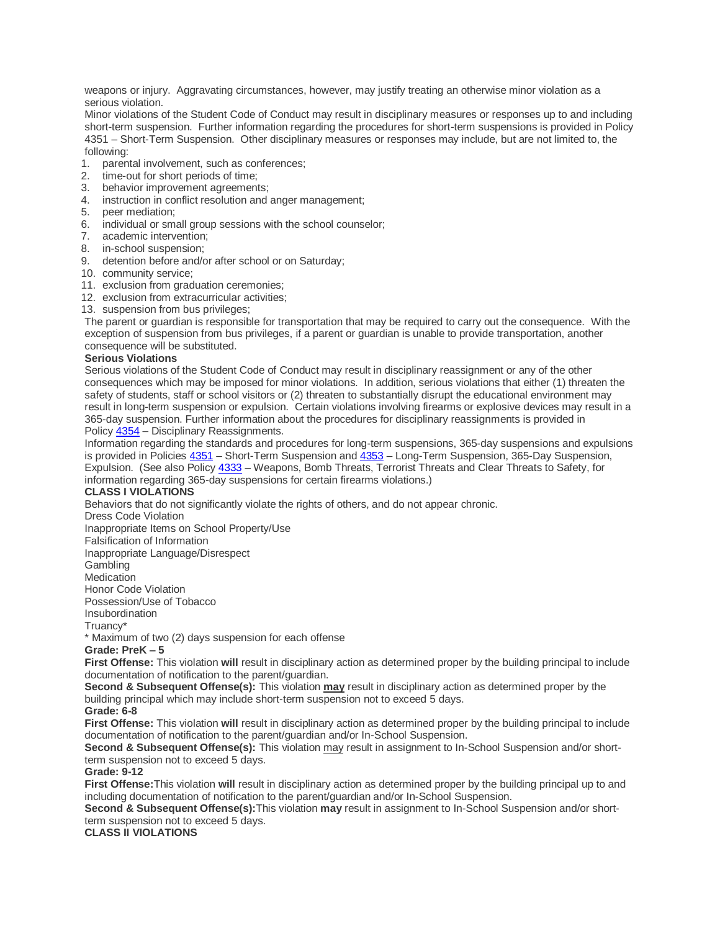weapons or injury. Aggravating circumstances, however, may justify treating an otherwise minor violation as a serious violation.

Minor violations of the Student Code of Conduct may result in disciplinary measures or responses up to and including short-term suspension. Further information regarding the procedures for short-term suspensions is provided in Policy 4351 – Short-Term Suspension. Other disciplinary measures or responses may include, but are not limited to, the following:

- 1. parental involvement, such as conferences;
- 2. time-out for short periods of time;
- 3. behavior improvement agreements;
- 4. instruction in conflict resolution and anger management;
- 5. peer mediation;
- 6. individual or small group sessions with the school counselor;
- 7. academic intervention;
- 8. in-school suspension;
- 9. detention before and/or after school or on Saturday;
- 10. community service;
- 11. exclusion from graduation ceremonies;
- 12. exclusion from extracurricular activities;
- 13. suspension from bus privileges;

The parent or guardian is responsible for transportation that may be required to carry out the consequence. With the exception of suspension from bus privileges, if a parent or guardian is unable to provide transportation, another consequence will be substituted.

#### **Serious Violations**

Serious violations of the Student Code of Conduct may result in disciplinary reassignment or any of the other consequences which may be imposed for minor violations. In addition, serious violations that either (1) threaten the safety of students, staff or school visitors or (2) threaten to substantially disrupt the educational environment may result in long-term suspension or expulsion. Certain violations involving firearms or explosive devices may result in a 365-day suspension. Further information about the procedures for disciplinary reassignments is provided in Policy [4354](https://boardpolicyonline.com/bl/?b=cumberland&s=127911) – Disciplinary Reassignments.

Information regarding the standards and procedures for long-term suspensions, 365-day suspensions and expulsions is provided in Policies [4351](https://boardpolicyonline.com/bl/?b=cumberland&s=127908) – Short-Term Suspension and [4353](https://boardpolicyonline.com/bl/?b=cumberland&s=127910) – Long-Term Suspension, 365-Day Suspension, Expulsion. (See also Policy [4333](https://boardpolicyonline.com/bl/?b=cumberland&s=127900) – Weapons, Bomb Threats, Terrorist Threats and Clear Threats to Safety, for information regarding 365-day suspensions for certain firearms violations.)

## **CLASS I VIOLATIONS**

Behaviors that do not significantly violate the rights of others, and do not appear chronic.

Dress Code Violation

Inappropriate Items on School Property/Use

Falsification of Information

Inappropriate Language/Disrespect

**Gambling** 

**Medication** 

Honor Code Violation

Possession/Use of Tobacco

Insubordination

Truancy\*

\* Maximum of two (2) days suspension for each offense

## **Grade: PreK – 5**

**First Offense:** This violation **will** result in disciplinary action as determined proper by the building principal to include documentation of notification to the parent/guardian.

**Second & Subsequent Offense(s):** This violation **may** result in disciplinary action as determined proper by the building principal which may include short-term suspension not to exceed 5 days.

## **Grade: 6-8**

**First Offense:** This violation **will** result in disciplinary action as determined proper by the building principal to include documentation of notification to the parent/guardian and/or In-School Suspension.

**Second & Subsequent Offense(s):** This violation may result in assignment to In-School Suspension and/or shortterm suspension not to exceed 5 days.

## **Grade: 9-12**

**First Offense:**This violation **will** result in disciplinary action as determined proper by the building principal up to and including documentation of notification to the parent/guardian and/or In-School Suspension.

**Second & Subsequent Offense(s):**This violation **may** result in assignment to In-School Suspension and/or shortterm suspension not to exceed 5 days.

## **CLASS II VIOLATIONS**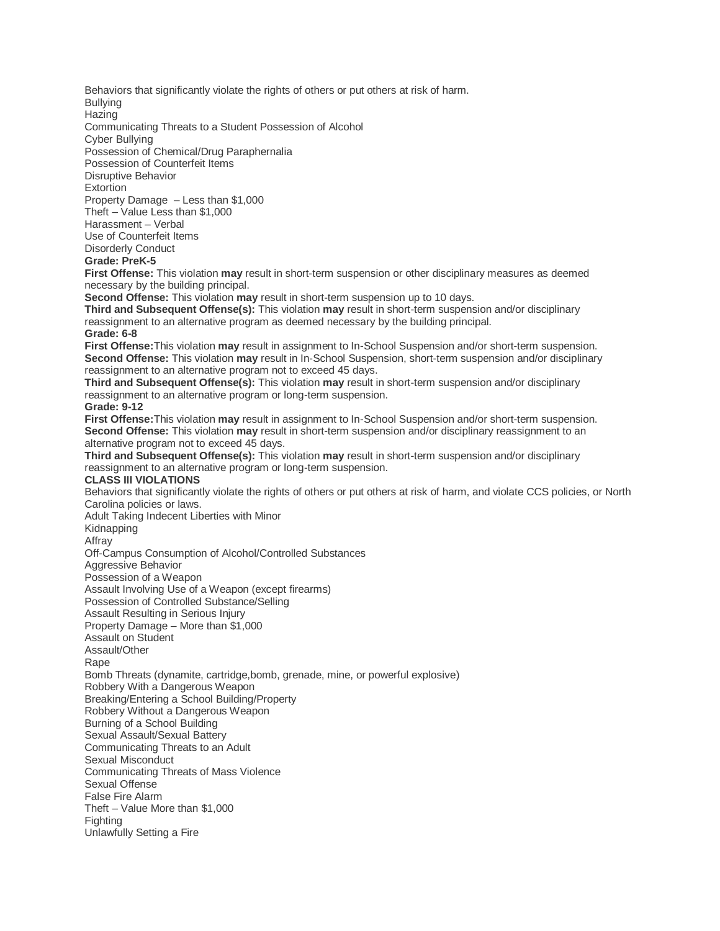Behaviors that significantly violate the rights of others or put others at risk of harm.

Bullying **Hazing** 

Communicating Threats to a Student Possession of Alcohol

Cyber Bullying

Possession of Chemical/Drug Paraphernalia

Possession of Counterfeit Items

Disruptive Behavior

**Extortion** 

Property Damage – Less than \$1,000

Theft – Value Less than \$1,000 Harassment – Verbal

Use of Counterfeit Items

Disorderly Conduct

## **Grade: PreK-5**

**First Offense:** This violation **may** result in short-term suspension or other disciplinary measures as deemed necessary by the building principal.

**Second Offense:** This violation **may** result in short-term suspension up to 10 days.

**Third and Subsequent Offense(s):** This violation **may** result in short-term suspension and/or disciplinary reassignment to an alternative program as deemed necessary by the building principal. **Grade: 6-8**

**First Offense:**This violation **may** result in assignment to In-School Suspension and/or short-term suspension. **Second Offense:** This violation **may** result in In-School Suspension, short-term suspension and/or disciplinary reassignment to an alternative program not to exceed 45 days.

**Third and Subsequent Offense(s):** This violation **may** result in short-term suspension and/or disciplinary reassignment to an alternative program or long-term suspension.

## **Grade: 9-12**

**First Offense:**This violation **may** result in assignment to In-School Suspension and/or short-term suspension. **Second Offense:** This violation **may** result in short-term suspension and/or disciplinary reassignment to an alternative program not to exceed 45 days.

**Third and Subsequent Offense(s):** This violation **may** result in short-term suspension and/or disciplinary reassignment to an alternative program or long-term suspension.

## **CLASS III VIOLATIONS**

Behaviors that significantly violate the rights of others or put others at risk of harm, and violate CCS policies, or North Carolina policies or laws.

Adult Taking Indecent Liberties with Minor Kidnapping

Affray

Off-Campus Consumption of Alcohol/Controlled Substances

Aggressive Behavior

Possession of a Weapon

Assault Involving Use of a Weapon (except firearms)

Possession of Controlled Substance/Selling

Assault Resulting in Serious Injury

Property Damage – More than \$1,000

Assault on Student

Assault/Other

Rape

Bomb Threats (dynamite, cartridge,bomb, grenade, mine, or powerful explosive)

Robbery With a Dangerous Weapon

Breaking/Entering a School Building/Property

Robbery Without a Dangerous Weapon

Burning of a School Building

Sexual Assault/Sexual Battery

Communicating Threats to an Adult

Sexual Misconduct

Communicating Threats of Mass Violence

Sexual Offense

False Fire Alarm

Theft – Value More than \$1,000

Fighting

Unlawfully Setting a Fire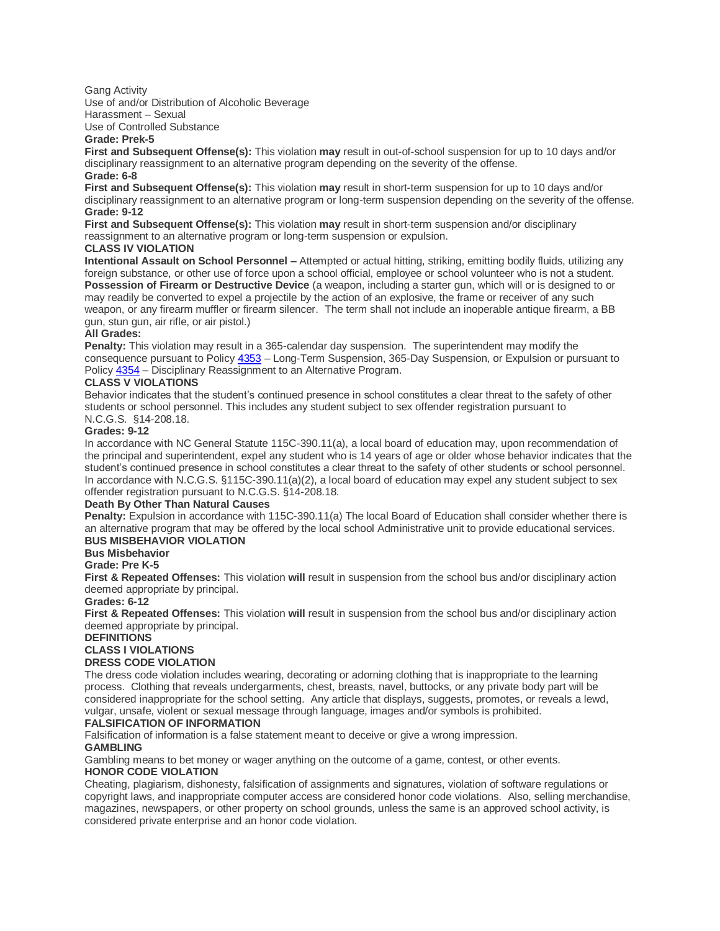#### Gang Activity

Use of and/or Distribution of Alcoholic Beverage Harassment – Sexual

Use of Controlled Substance

# **Grade: Prek-5**

**First and Subsequent Offense(s):** This violation **may** result in out-of-school suspension for up to 10 days and/or disciplinary reassignment to an alternative program depending on the severity of the offense. **Grade: 6-8**

**First and Subsequent Offense(s):** This violation **may** result in short-term suspension for up to 10 days and/or disciplinary reassignment to an alternative program or long-term suspension depending on the severity of the offense. **Grade: 9-12**

**First and Subsequent Offense(s):** This violation **may** result in short-term suspension and/or disciplinary reassignment to an alternative program or long-term suspension or expulsion.

## **CLASS IV VIOLATION**

**Intentional Assault on School Personnel –** Attempted or actual hitting, striking, emitting bodily fluids, utilizing any foreign substance, or other use of force upon a school official, employee or school volunteer who is not a student. **Possession of Firearm or Destructive Device** (a weapon, including a starter gun, which will or is designed to or may readily be converted to expel a projectile by the action of an explosive, the frame or receiver of any such weapon, or any firearm muffler or firearm silencer. The term shall not include an inoperable antique firearm, a BB gun, stun gun, air rifle, or air pistol.)

## **All Grades:**

**Penalty:** This violation may result in a 365-calendar day suspension. The superintendent may modify the consequence pursuant to Policy [4353](https://boardpolicyonline.com/bl/?b=cumberland&s=127910) – Long-Term Suspension, 365-Day Suspension, or Expulsion or pursuant to Policy [4354](https://boardpolicyonline.com/bl/?b=cumberland&s=127713#&&hs=127911) – Disciplinary Reassignment to an Alternative Program.

# **CLASS V VIOLATIONS**

Behavior indicates that the student's continued presence in school constitutes a clear threat to the safety of other students or school personnel. This includes any student subject to sex offender registration pursuant to N.C.G.S. §14-208.18.

## **Grades: 9-12**

In accordance with NC General Statute 115C-390.11(a), a local board of education may, upon recommendation of the principal and superintendent, expel any student who is 14 years of age or older whose behavior indicates that the student's continued presence in school constitutes a clear threat to the safety of other students or school personnel. In accordance with N.C.G.S. §115C-390.11(a)(2), a local board of education may expel any student subject to sex offender registration pursuant to N.C.G.S. §14-208.18.

# **Death By Other Than Natural Causes**

**Penalty:** Expulsion in accordance with 115C-390.11(a) The local Board of Education shall consider whether there is an alternative program that may be offered by the local school Administrative unit to provide educational services. **BUS MISBEHAVIOR VIOLATION**

## **Bus Misbehavior**

## **Grade: Pre K-5**

**First & Repeated Offenses:** This violation **will** result in suspension from the school bus and/or disciplinary action deemed appropriate by principal.

## **Grades: 6-12**

**First & Repeated Offenses:** This violation **will** result in suspension from the school bus and/or disciplinary action deemed appropriate by principal.

## **DEFINITIONS**

## **CLASS I VIOLATIONS**

**DRESS CODE VIOLATION**

The dress code violation includes wearing, decorating or adorning clothing that is inappropriate to the learning process. Clothing that reveals undergarments, chest, breasts, navel, buttocks, or any private body part will be considered inappropriate for the school setting. Any article that displays, suggests, promotes, or reveals a lewd, vulgar, unsafe, violent or sexual message through language, images and/or symbols is prohibited.

## **FALSIFICATION OF INFORMATION**

Falsification of information is a false statement meant to deceive or give a wrong impression.

## **GAMBLING**

Gambling means to bet money or wager anything on the outcome of a game, contest, or other events. **HONOR CODE VIOLATION**

Cheating, plagiarism, dishonesty, falsification of assignments and signatures, violation of software regulations or copyright laws, and inappropriate computer access are considered honor code violations. Also, selling merchandise, magazines, newspapers, or other property on school grounds, unless the same is an approved school activity, is considered private enterprise and an honor code violation.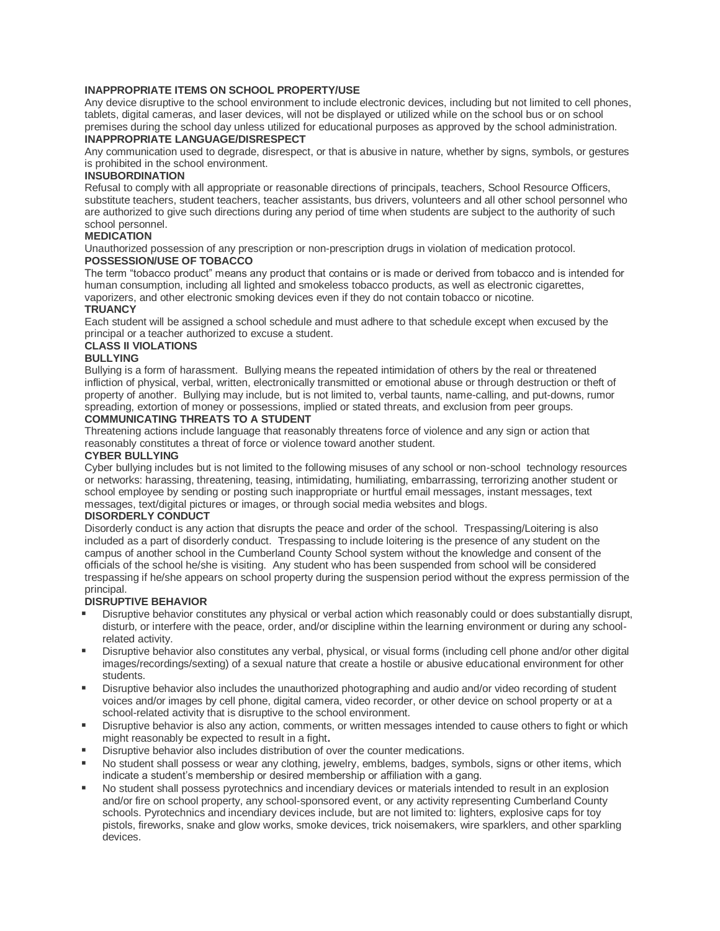## **INAPPROPRIATE ITEMS ON SCHOOL PROPERTY/USE**

Any device disruptive to the school environment to include electronic devices, including but not limited to cell phones, tablets, digital cameras, and laser devices, will not be displayed or utilized while on the school bus or on school premises during the school day unless utilized for educational purposes as approved by the school administration. **INAPPROPRIATE LANGUAGE/DISRESPECT**

#### Any communication used to degrade, disrespect, or that is abusive in nature, whether by signs, symbols, or gestures is prohibited in the school environment.

## **INSUBORDINATION**

Refusal to comply with all appropriate or reasonable directions of principals, teachers, School Resource Officers, substitute teachers, student teachers, teacher assistants, bus drivers, volunteers and all other school personnel who are authorized to give such directions during any period of time when students are subject to the authority of such school personnel.

## **MEDICATION**

Unauthorized possession of any prescription or non-prescription drugs in violation of medication protocol. **POSSESSION/USE OF TOBACCO**

The term "tobacco product" means any product that contains or is made or derived from tobacco and is intended for human consumption, including all lighted and smokeless tobacco products, as well as electronic cigarettes, vaporizers, and other electronic smoking devices even if they do not contain tobacco or nicotine. **TRUANCY**

Each student will be assigned a school schedule and must adhere to that schedule except when excused by the principal or a teacher authorized to excuse a student.

## **CLASS II VIOLATIONS**

## **BULLYING**

Bullying is a form of harassment. Bullying means the repeated intimidation of others by the real or threatened infliction of physical, verbal, written, electronically transmitted or emotional abuse or through destruction or theft of property of another. Bullying may include, but is not limited to, verbal taunts, name-calling, and put-downs, rumor spreading, extortion of money or possessions, implied or stated threats, and exclusion from peer groups.

## **COMMUNICATING THREATS TO A STUDENT**

Threatening actions include language that reasonably threatens force of violence and any sign or action that reasonably constitutes a threat of force or violence toward another student.

## **CYBER BULLYING**

Cyber bullying includes but is not limited to the following misuses of any school or non-school technology resources or networks: harassing, threatening, teasing, intimidating, humiliating, embarrassing, terrorizing another student or school employee by sending or posting such inappropriate or hurtful email messages, instant messages, text messages, text/digital pictures or images, or through social media websites and blogs.

## **DISORDERLY CONDUCT**

Disorderly conduct is any action that disrupts the peace and order of the school. Trespassing/Loitering is also included as a part of disorderly conduct. Trespassing to include loitering is the presence of any student on the campus of another school in the Cumberland County School system without the knowledge and consent of the officials of the school he/she is visiting. Any student who has been suspended from school will be considered trespassing if he/she appears on school property during the suspension period without the express permission of the principal.

## **DISRUPTIVE BEHAVIOR**

- Disruptive behavior constitutes any physical or verbal action which reasonably could or does substantially disrupt, disturb, or interfere with the peace, order, and/or discipline within the learning environment or during any schoolrelated activity.
- Disruptive behavior also constitutes any verbal, physical, or visual forms (including cell phone and/or other digital images/recordings/sexting) of a sexual nature that create a hostile or abusive educational environment for other students.
- Disruptive behavior also includes the unauthorized photographing and audio and/or video recording of student voices and/or images by cell phone, digital camera, video recorder, or other device on school property or at a school-related activity that is disruptive to the school environment.
- Disruptive behavior is also any action, comments, or written messages intended to cause others to fight or which might reasonably be expected to result in a fight**.**
- Disruptive behavior also includes distribution of over the counter medications.
- No student shall possess or wear any clothing, jewelry, emblems, badges, symbols, signs or other items, which indicate a student's membership or desired membership or affiliation with a gang.
- No student shall possess pyrotechnics and incendiary devices or materials intended to result in an explosion and/or fire on school property, any school-sponsored event, or any activity representing Cumberland County schools. Pyrotechnics and incendiary devices include, but are not limited to: lighters, explosive caps for toy pistols, fireworks, snake and glow works, smoke devices, trick noisemakers, wire sparklers, and other sparkling devices.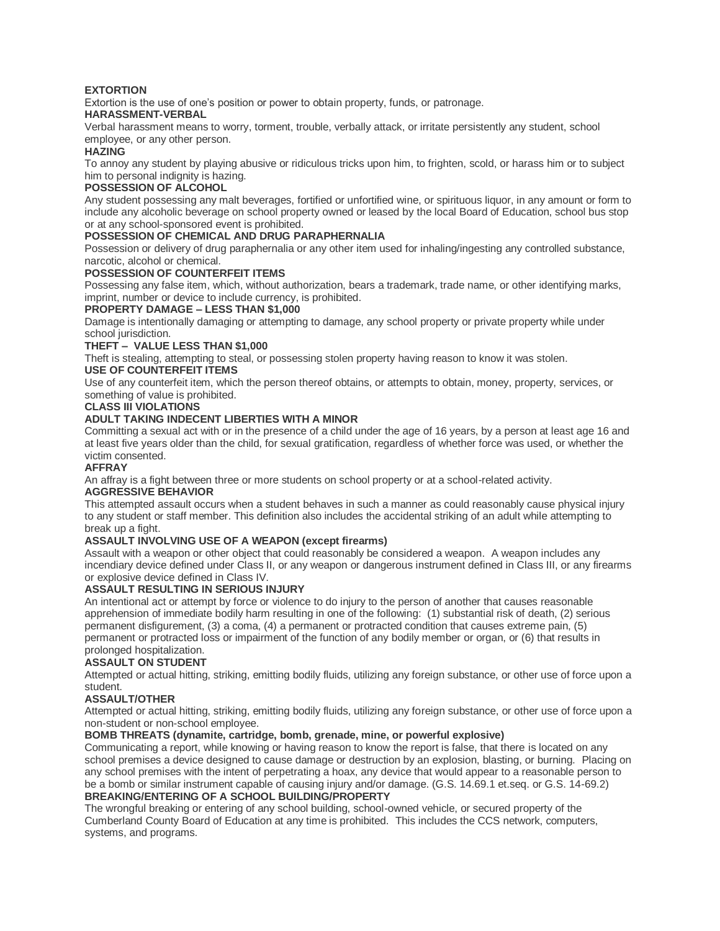## **EXTORTION**

Extortion is the use of one's position or power to obtain property, funds, or patronage.

## **HARASSMENT-VERBAL**

Verbal harassment means to worry, torment, trouble, verbally attack, or irritate persistently any student, school employee, or any other person.

#### **HAZING**

To annoy any student by playing abusive or ridiculous tricks upon him, to frighten, scold, or harass him or to subject him to personal indignity is hazing.

## **POSSESSION OF ALCOHOL**

Any student possessing any malt beverages, fortified or unfortified wine, or spirituous liquor, in any amount or form to include any alcoholic beverage on school property owned or leased by the local Board of Education, school bus stop or at any school-sponsored event is prohibited.

## **POSSESSION OF CHEMICAL AND DRUG PARAPHERNALIA**

Possession or delivery of drug paraphernalia or any other item used for inhaling/ingesting any controlled substance, narcotic, alcohol or chemical.

#### **POSSESSION OF COUNTERFEIT ITEMS**

Possessing any false item, which, without authorization, bears a trademark, trade name, or other identifying marks, imprint, number or device to include currency, is prohibited.

## **PROPERTY DAMAGE – LESS THAN \$1,000**

Damage is intentionally damaging or attempting to damage, any school property or private property while under school jurisdiction.

## **THEFT – VALUE LESS THAN \$1,000**

Theft is stealing, attempting to steal, or possessing stolen property having reason to know it was stolen.

# **USE OF COUNTERFEIT ITEMS**

Use of any counterfeit item, which the person thereof obtains, or attempts to obtain, money, property, services, or something of value is prohibited.

#### **CLASS III VIOLATIONS**

## **ADULT TAKING INDECENT LIBERTIES WITH A MINOR**

Committing a sexual act with or in the presence of a child under the age of 16 years, by a person at least age 16 and at least five years older than the child, for sexual gratification, regardless of whether force was used, or whether the victim consented.

#### **AFFRAY**

An affray is a fight between three or more students on school property or at a school-related activity. **AGGRESSIVE BEHAVIOR**

This attempted assault occurs when a student behaves in such a manner as could reasonably cause physical injury to any student or staff member. This definition also includes the accidental striking of an adult while attempting to break up a fight.

## **ASSAULT INVOLVING USE OF A WEAPON (except firearms)**

Assault with a weapon or other object that could reasonably be considered a weapon. A weapon includes any incendiary device defined under Class II, or any weapon or dangerous instrument defined in Class III, or any firearms or explosive device defined in Class IV.

## **ASSAULT RESULTING IN SERIOUS INJURY**

An intentional act or attempt by force or violence to do injury to the person of another that causes reasonable apprehension of immediate bodily harm resulting in one of the following: (1) substantial risk of death, (2) serious permanent disfigurement, (3) a coma, (4) a permanent or protracted condition that causes extreme pain, (5) permanent or protracted loss or impairment of the function of any bodily member or organ, or (6) that results in prolonged hospitalization.

## **ASSAULT ON STUDENT**

Attempted or actual hitting, striking, emitting bodily fluids, utilizing any foreign substance, or other use of force upon a student.

## **ASSAULT/OTHER**

Attempted or actual hitting, striking, emitting bodily fluids, utilizing any foreign substance, or other use of force upon a non-student or non-school employee.

## **BOMB THREATS (dynamite, cartridge, bomb, grenade, mine, or powerful explosive)**

Communicating a report, while knowing or having reason to know the report is false, that there is located on any school premises a device designed to cause damage or destruction by an explosion, blasting, or burning. Placing on any school premises with the intent of perpetrating a hoax, any device that would appear to a reasonable person to be a bomb or similar instrument capable of causing injury and/or damage. (G.S. 14.69.1 et.seq. or G.S. 14-69.2) **BREAKING/ENTERING OF A SCHOOL BUILDING/PROPERTY**

The wrongful breaking or entering of any school building, school-owned vehicle, or secured property of the Cumberland County Board of Education at any time is prohibited. This includes the CCS network, computers, systems, and programs.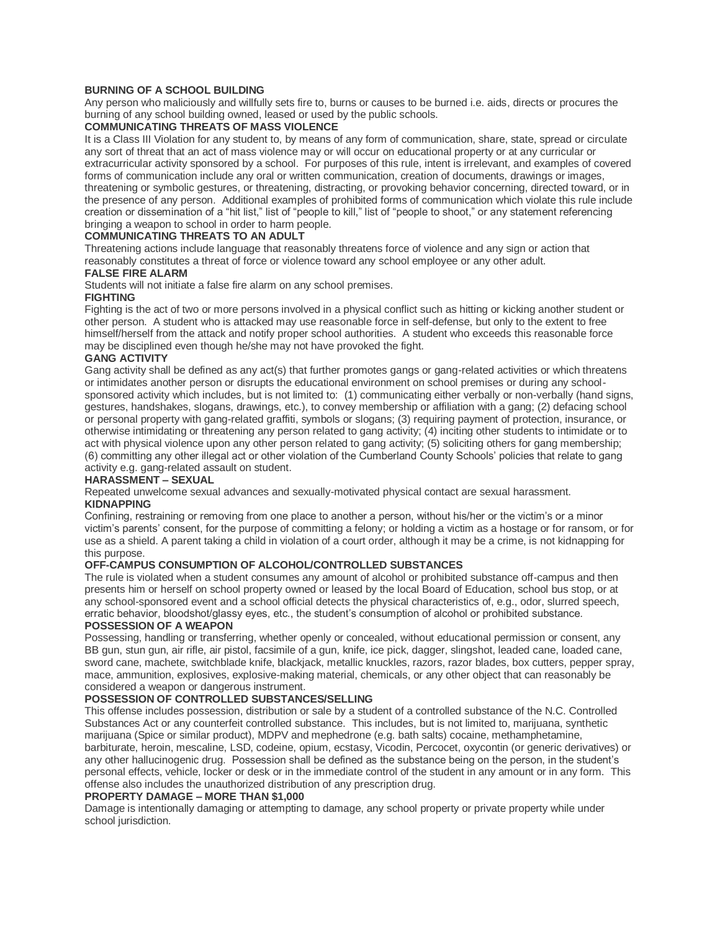## **BURNING OF A SCHOOL BUILDING**

Any person who maliciously and willfully sets fire to, burns or causes to be burned i.e. aids, directs or procures the burning of any school building owned, leased or used by the public schools.

## **COMMUNICATING THREATS OF MASS VIOLENCE**

It is a Class III Violation for any student to, by means of any form of communication, share, state, spread or circulate any sort of threat that an act of mass violence may or will occur on educational property or at any curricular or extracurricular activity sponsored by a school. For purposes of this rule, intent is irrelevant, and examples of covered forms of communication include any oral or written communication, creation of documents, drawings or images, threatening or symbolic gestures, or threatening, distracting, or provoking behavior concerning, directed toward, or in the presence of any person. Additional examples of prohibited forms of communication which violate this rule include creation or dissemination of a "hit list," list of "people to kill," list of "people to shoot," or any statement referencing bringing a weapon to school in order to harm people.

#### **COMMUNICATING THREATS TO AN ADULT**

Threatening actions include language that reasonably threatens force of violence and any sign or action that reasonably constitutes a threat of force or violence toward any school employee or any other adult.

## **FALSE FIRE ALARM**

Students will not initiate a false fire alarm on any school premises.

#### **FIGHTING**

Fighting is the act of two or more persons involved in a physical conflict such as hitting or kicking another student or other person. A student who is attacked may use reasonable force in self-defense, but only to the extent to free himself/herself from the attack and notify proper school authorities. A student who exceeds this reasonable force may be disciplined even though he/she may not have provoked the fight.

## **GANG ACTIVITY**

Gang activity shall be defined as any act(s) that further promotes gangs or gang-related activities or which threatens or intimidates another person or disrupts the educational environment on school premises or during any schoolsponsored activity which includes, but is not limited to: (1) communicating either verbally or non-verbally (hand signs, gestures, handshakes, slogans, drawings, etc.), to convey membership or affiliation with a gang; (2) defacing school or personal property with gang-related graffiti, symbols or slogans; (3) requiring payment of protection, insurance, or otherwise intimidating or threatening any person related to gang activity; (4) inciting other students to intimidate or to act with physical violence upon any other person related to gang activity; (5) soliciting others for gang membership; (6) committing any other illegal act or other violation of the Cumberland County Schools' policies that relate to gang activity e.g. gang-related assault on student.

## **HARASSMENT – SEXUAL**

Repeated unwelcome sexual advances and sexually-motivated physical contact are sexual harassment. **KIDNAPPING**

Confining, restraining or removing from one place to another a person, without his/her or the victim's or a minor victim's parents' consent, for the purpose of committing a felony; or holding a victim as a hostage or for ransom, or for use as a shield. A parent taking a child in violation of a court order, although it may be a crime, is not kidnapping for this purpose.

## **OFF-CAMPUS CONSUMPTION OF ALCOHOL/CONTROLLED SUBSTANCES**

The rule is violated when a student consumes any amount of alcohol or prohibited substance off-campus and then presents him or herself on school property owned or leased by the local Board of Education, school bus stop, or at any school-sponsored event and a school official detects the physical characteristics of, e.g., odor, slurred speech, erratic behavior, bloodshot/glassy eyes, etc., the student's consumption of alcohol or prohibited substance.

## **POSSESSION OF A WEAPON**

Possessing, handling or transferring, whether openly or concealed, without educational permission or consent, any BB gun, stun gun, air rifle, air pistol, facsimile of a gun, knife, ice pick, dagger, slingshot, leaded cane, loaded cane, sword cane, machete, switchblade knife, blackjack, metallic knuckles, razors, razor blades, box cutters, pepper spray, mace, ammunition, explosives, explosive-making material, chemicals, or any other object that can reasonably be considered a weapon or dangerous instrument.

## **POSSESSION OF CONTROLLED SUBSTANCES/SELLING**

This offense includes possession, distribution or sale by a student of a controlled substance of the N.C. Controlled Substances Act or any counterfeit controlled substance. This includes, but is not limited to, marijuana, synthetic marijuana (Spice or similar product), MDPV and mephedrone (e.g. bath salts) cocaine, methamphetamine, barbiturate, heroin, mescaline, LSD, codeine, opium, ecstasy, Vicodin, Percocet, oxycontin (or generic derivatives) or any other hallucinogenic drug. Possession shall be defined as the substance being on the person, in the student's personal effects, vehicle, locker or desk or in the immediate control of the student in any amount or in any form. This offense also includes the unauthorized distribution of any prescription drug.

## **PROPERTY DAMAGE – MORE THAN \$1,000**

Damage is intentionally damaging or attempting to damage, any school property or private property while under school jurisdiction.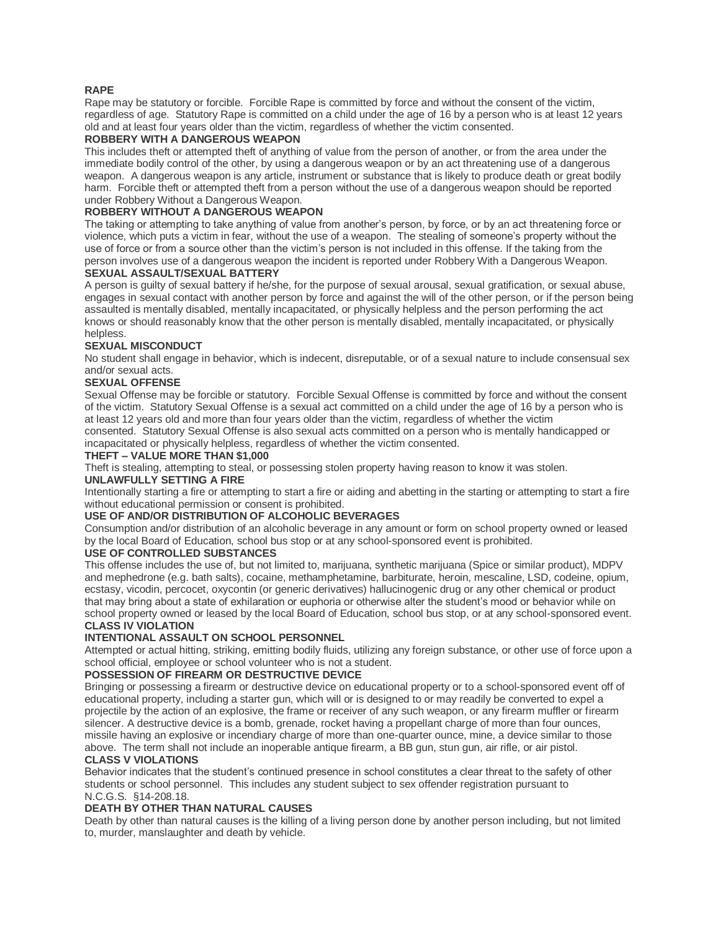## **RAPE**

Rape may be statutory or forcible. Forcible Rape is committed by force and without the consent of the victim, regardless of age. Statutory Rape is committed on a child under the age of 16 by a person who is at least 12 years old and at least four years older than the victim, regardless of whether the victim consented.

## **ROBBERY WITH A DANGEROUS WEAPON**

This includes theft or attempted theft of anything of value from the person of another, or from the area under the immediate bodily control of the other, by using a dangerous weapon or by an act threatening use of a dangerous weapon. A dangerous weapon is any article, instrument or substance that is likely to produce death or great bodily harm. Forcible theft or attempted theft from a person without the use of a dangerous weapon should be reported under Robbery Without a Dangerous Weapon.

## **ROBBERY WITHOUT A DANGEROUS WEAPON**

The taking or attempting to take anything of value from another's person, by force, or by an act threatening force or violence, which puts a victim in fear, without the use of a weapon. The stealing of someone's property without the use of force or from a source other than the victim's person is not included in this offense. If the taking from the person involves use of a dangerous weapon the incident is reported under Robbery With a Dangerous Weapon.

## **SEXUAL ASSAULT/SEXUAL BATTERY**

A person is guilty of sexual battery if he/she, for the purpose of sexual arousal, sexual gratification, or sexual abuse, engages in sexual contact with another person by force and against the will of the other person, or if the person being assaulted is mentally disabled, mentally incapacitated, or physically helpless and the person performing the act knows or should reasonably know that the other person is mentally disabled, mentally incapacitated, or physically helpless.

## **SEXUAL MISCONDUCT**

No student shall engage in behavior, which is indecent, disreputable, or of a sexual nature to include consensual sex and/or sexual acts.

## **SEXUAL OFFENSE**

Sexual Offense may be forcible or statutory. Forcible Sexual Offense is committed by force and without the consent of the victim. Statutory Sexual Offense is a sexual act committed on a child under the age of 16 by a person who is at least 12 years old and more than four years older than the victim, regardless of whether the victim consented. Statutory Sexual Offense is also sexual acts committed on a person who is mentally handicapped or incapacitated or physically helpless, regardless of whether the victim consented.

# **THEFT – VALUE MORE THAN \$1,000**

Theft is stealing, attempting to steal, or possessing stolen property having reason to know it was stolen.

## **UNLAWFULLY SETTING A FIRE**

Intentionally starting a fire or attempting to start a fire or aiding and abetting in the starting or attempting to start a fire without educational permission or consent is prohibited.

## **USE OF AND/OR DISTRIBUTION OF ALCOHOLIC BEVERAGES**

Consumption and/or distribution of an alcoholic beverage in any amount or form on school property owned or leased by the local Board of Education, school bus stop or at any school-sponsored event is prohibited.

## **USE OF CONTROLLED SUBSTANCES**

This offense includes the use of, but not limited to, marijuana, synthetic marijuana (Spice or similar product), MDPV and mephedrone (e.g. bath salts), cocaine, methamphetamine, barbiturate, heroin, mescaline, LSD, codeine, opium, ecstasy, vicodin, percocet, oxycontin (or generic derivatives) hallucinogenic drug or any other chemical or product that may bring about a state of exhilaration or euphoria or otherwise alter the student's mood or behavior while on school property owned or leased by the local Board of Education, school bus stop, or at any school-sponsored event. **CLASS IV VIOLATION**

## **INTENTIONAL ASSAULT ON SCHOOL PERSONNEL**

Attempted or actual hitting, striking, emitting bodily fluids, utilizing any foreign substance, or other use of force upon a school official, employee or school volunteer who is not a student.

## **POSSESSION OF FIREARM OR DESTRUCTIVE DEVICE**

Bringing or possessing a firearm or destructive device on educational property or to a school-sponsored event off of educational property, including a starter gun, which will or is designed to or may readily be converted to expel a projectile by the action of an explosive, the frame or receiver of any such weapon, or any firearm muffler or firearm silencer. A destructive device is a bomb, grenade, rocket having a propellant charge of more than four ounces, missile having an explosive or incendiary charge of more than one-quarter ounce, mine, a device similar to those above. The term shall not include an inoperable antique firearm, a BB gun, stun gun, air rifle, or air pistol. **CLASS V VIOLATIONS**

#### Behavior indicates that the student's continued presence in school constitutes a clear threat to the safety of other students or school personnel. This includes any student subject to sex offender registration pursuant to N.C.G.S. §14-208.18.

## **DEATH BY OTHER THAN NATURAL CAUSES**

Death by other than natural causes is the killing of a living person done by another person including, but not limited to, murder, manslaughter and death by vehicle.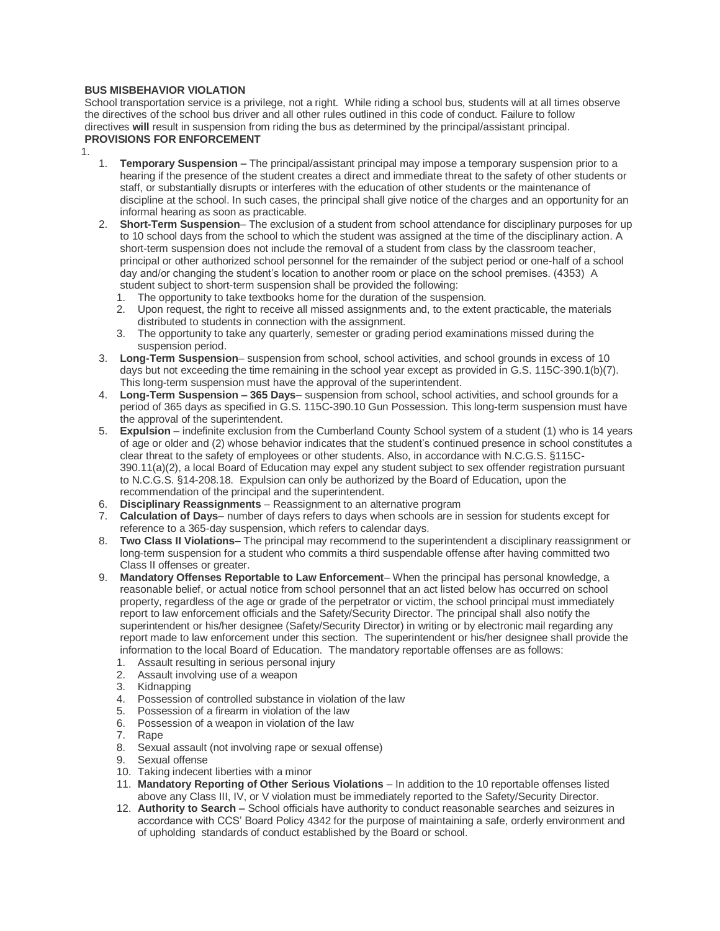## **BUS MISBEHAVIOR VIOLATION**

School transportation service is a privilege, not a right. While riding a school bus, students will at all times observe the directives of the school bus driver and all other rules outlined in this code of conduct. Failure to follow directives **will** result in suspension from riding the bus as determined by the principal/assistant principal. **PROVISIONS FOR ENFORCEMENT**

- 1.
	- 1. **Temporary Suspension –** The principal/assistant principal may impose a temporary suspension prior to a hearing if the presence of the student creates a direct and immediate threat to the safety of other students or staff, or substantially disrupts or interferes with the education of other students or the maintenance of discipline at the school. In such cases, the principal shall give notice of the charges and an opportunity for an informal hearing as soon as practicable.
	- 2. **Short-Term Suspension** The exclusion of a student from school attendance for disciplinary purposes for up to 10 school days from the school to which the student was assigned at the time of the disciplinary action. A short-term suspension does not include the removal of a student from class by the classroom teacher, principal or other authorized school personnel for the remainder of the subject period or one-half of a school day and/or changing the student's location to another room or place on the school premises. (4353) A student subject to short-term suspension shall be provided the following:
		- 1. The opportunity to take textbooks home for the duration of the suspension.
		- 2. Upon request, the right to receive all missed assignments and, to the extent practicable, the materials distributed to students in connection with the assignment.
		- 3. The opportunity to take any quarterly, semester or grading period examinations missed during the suspension period.
	- 3. **Long-Term Suspension** suspension from school, school activities, and school grounds in excess of 10 days but not exceeding the time remaining in the school year except as provided in G.S. 115C-390.1(b)(7). This long-term suspension must have the approval of the superintendent.
	- 4. **Long-Term Suspension – 365 Days** suspension from school, school activities, and school grounds for a period of 365 days as specified in G.S. 115C-390.10 Gun Possession. This long-term suspension must have the approval of the superintendent.
	- 5. **Expulsion** indefinite exclusion from the Cumberland County School system of a student (1) who is 14 years of age or older and (2) whose behavior indicates that the student's continued presence in school constitutes a clear threat to the safety of employees or other students. Also, in accordance with N.C.G.S. §115C-390.11(a)(2), a local Board of Education may expel any student subject to sex offender registration pursuant to N.C.G.S. §14-208.18. Expulsion can only be authorized by the Board of Education, upon the recommendation of the principal and the superintendent.
	- 6. **Disciplinary Reassignments** Reassignment to an alternative program
	- 7. **Calculation of Days** number of days refers to days when schools are in session for students except for reference to a 365-day suspension, which refers to calendar days.
	- 8. **Two Class II Violations** The principal may recommend to the superintendent a disciplinary reassignment or long-term suspension for a student who commits a third suspendable offense after having committed two Class II offenses or greater.
	- 9. **Mandatory Offenses Reportable to Law Enforcement** When the principal has personal knowledge, a reasonable belief, or actual notice from school personnel that an act listed below has occurred on school property, regardless of the age or grade of the perpetrator or victim, the school principal must immediately report to law enforcement officials and the Safety/Security Director. The principal shall also notify the superintendent or his/her designee (Safety/Security Director) in writing or by electronic mail regarding any report made to law enforcement under this section. The superintendent or his/her designee shall provide the information to the local Board of Education. The mandatory reportable offenses are as follows:
		- 1. Assault resulting in serious personal injury
		- 2. Assault involving use of a weapon
		- 3. Kidnapping
		- 4. Possession of controlled substance in violation of the law
		- 5. Possession of a firearm in violation of the law
		- 6. Possession of a weapon in violation of the law
		- 7. Rape
		- 8. Sexual assault (not involving rape or sexual offense)
		- 9. Sexual offense 10. Taking indecent liberties with a minor
		- 11. **Mandatory Reporting of Other Serious Violations** In addition to the 10 reportable offenses listed above any Class III, IV, or V violation must be immediately reported to the Safety/Security Director.
		- 12. **Authority to Search –** School officials have authority to conduct reasonable searches and seizures in accordance with CCS' Board Policy 4342 for the purpose of maintaining a safe, orderly environment and of upholding standards of conduct established by the Board or school.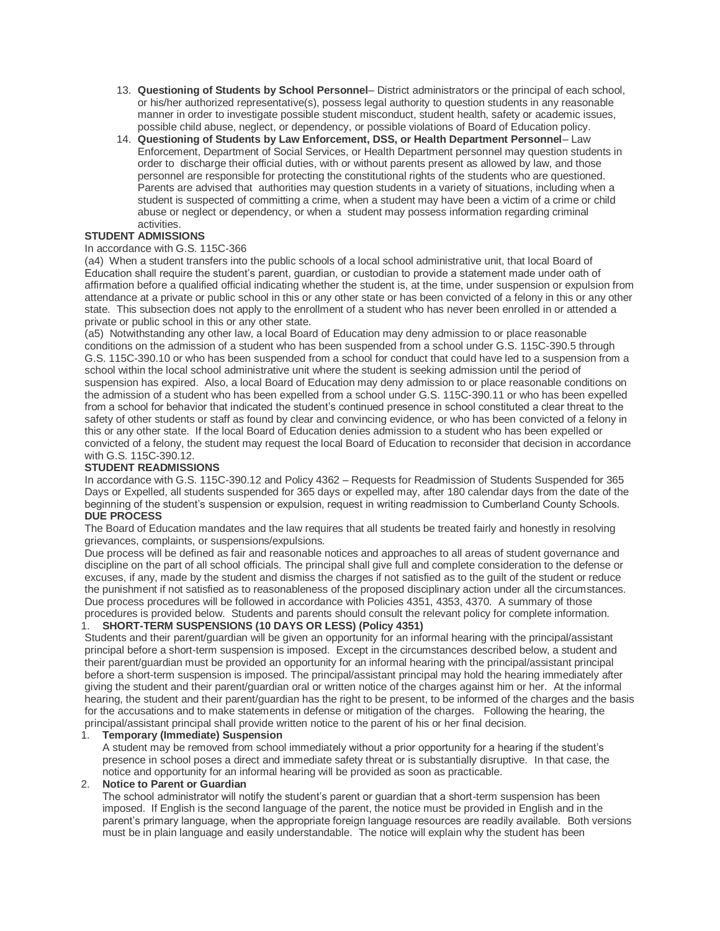- 13. **Questioning of Students by School Personnel** District administrators or the principal of each school, or his/her authorized representative(s), possess legal authority to question students in any reasonable manner in order to investigate possible student misconduct, student health, safety or academic issues, possible child abuse, neglect, or dependency, or possible violations of Board of Education policy.
- 14. **Questioning of Students by Law Enforcement, DSS, or Health Department Personnel** Law Enforcement, Department of Social Services, or Health Department personnel may question students in order to discharge their official duties, with or without parents present as allowed by law, and those personnel are responsible for protecting the constitutional rights of the students who are questioned. Parents are advised that authorities may question students in a variety of situations, including when a student is suspected of committing a crime, when a student may have been a victim of a crime or child abuse or neglect or dependency, or when a student may possess information regarding criminal activities.

# **STUDENT ADMISSIONS**

## In accordance with G.S. 115C-366

(a4) When a student transfers into the public schools of a local school administrative unit, that local Board of Education shall require the student's parent, guardian, or custodian to provide a statement made under oath of affirmation before a qualified official indicating whether the student is, at the time, under suspension or expulsion from attendance at a private or public school in this or any other state or has been convicted of a felony in this or any other state. This subsection does not apply to the enrollment of a student who has never been enrolled in or attended a private or public school in this or any other state.

(a5) Notwithstanding any other law, a local Board of Education may deny admission to or place reasonable conditions on the admission of a student who has been suspended from a school under G.S. 115C-390.5 through G.S. 115C-390.10 or who has been suspended from a school for conduct that could have led to a suspension from a school within the local school administrative unit where the student is seeking admission until the period of suspension has expired. Also, a local Board of Education may deny admission to or place reasonable conditions on the admission of a student who has been expelled from a school under G.S. 115C-390.11 or who has been expelled from a school for behavior that indicated the student's continued presence in school constituted a clear threat to the safety of other students or staff as found by clear and convincing evidence, or who has been convicted of a felony in this or any other state. If the local Board of Education denies admission to a student who has been expelled or convicted of a felony, the student may request the local Board of Education to reconsider that decision in accordance with G.S. 115C-390.12.

## **STUDENT READMISSIONS**

In accordance with G.S. 115C-390.12 and Policy 4362 – Requests for Readmission of Students Suspended for 365 Days or Expelled, all students suspended for 365 days or expelled may, after 180 calendar days from the date of the beginning of the student's suspension or expulsion, request in writing readmission to Cumberland County Schools. **DUE PROCESS**

The Board of Education mandates and the law requires that all students be treated fairly and honestly in resolving grievances, complaints, or suspensions/expulsions.

Due process will be defined as fair and reasonable notices and approaches to all areas of student governance and discipline on the part of all school officials. The principal shall give full and complete consideration to the defense or excuses, if any, made by the student and dismiss the charges if not satisfied as to the guilt of the student or reduce the punishment if not satisfied as to reasonableness of the proposed disciplinary action under all the circumstances. Due process procedures will be followed in accordance with Policies 4351, 4353, 4370. A summary of those procedures is provided below. Students and parents should consult the relevant policy for complete information.

## 1. **SHORT-TERM SUSPENSIONS (10 DAYS OR LESS) (Policy 4351)**

Students and their parent/guardian will be given an opportunity for an informal hearing with the principal/assistant principal before a short-term suspension is imposed. Except in the circumstances described below, a student and their parent/guardian must be provided an opportunity for an informal hearing with the principal/assistant principal before a short-term suspension is imposed. The principal/assistant principal may hold the hearing immediately after giving the student and their parent/guardian oral or written notice of the charges against him or her. At the informal hearing, the student and their parent/guardian has the right to be present, to be informed of the charges and the basis for the accusations and to make statements in defense or mitigation of the charges. Following the hearing, the principal/assistant principal shall provide written notice to the parent of his or her final decision.

## 1. **Temporary (Immediate) Suspension**

A student may be removed from school immediately without a prior opportunity for a hearing if the student's presence in school poses a direct and immediate safety threat or is substantially disruptive. In that case, the notice and opportunity for an informal hearing will be provided as soon as practicable.

## 2. **Notice to Parent or Guardian**

The school administrator will notify the student's parent or guardian that a short-term suspension has been imposed. If English is the second language of the parent, the notice must be provided in English and in the parent's primary language, when the appropriate foreign language resources are readily available. Both versions must be in plain language and easily understandable. The notice will explain why the student has been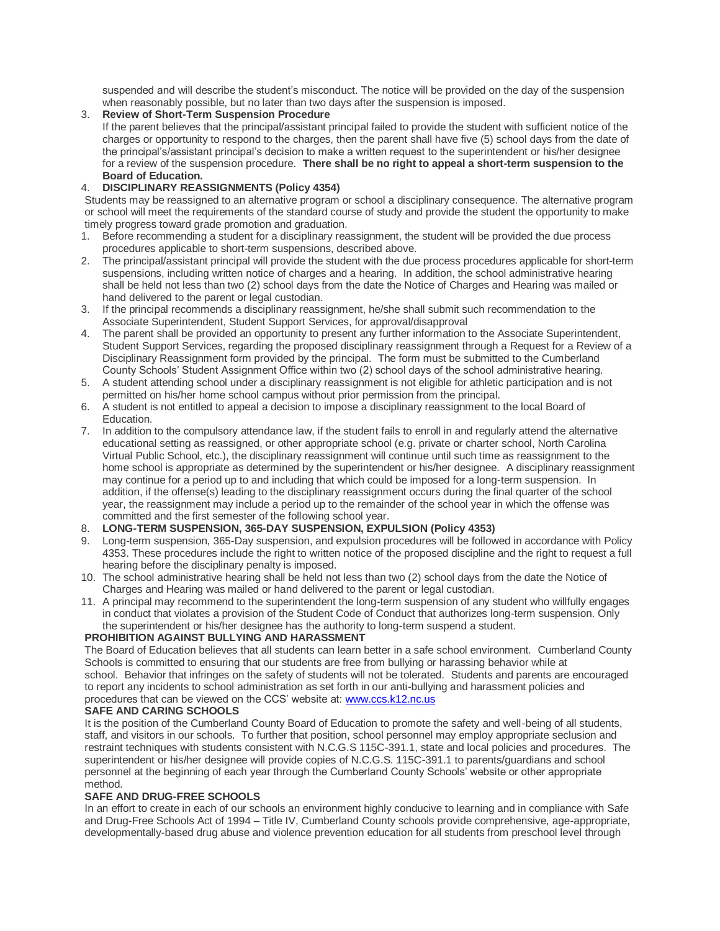suspended and will describe the student's misconduct. The notice will be provided on the day of the suspension when reasonably possible, but no later than two days after the suspension is imposed.

## 3. **Review of Short-Term Suspension Procedure**

If the parent believes that the principal/assistant principal failed to provide the student with sufficient notice of the charges or opportunity to respond to the charges, then the parent shall have five (5) school days from the date of the principal's/assistant principal's decision to make a written request to the superintendent or his/her designee for a review of the suspension procedure. **There shall be no right to appeal a short-term suspension to the Board of Education.**

## 4. **DISCIPLINARY REASSIGNMENTS (Policy 4354)**

Students may be reassigned to an alternative program or school a disciplinary consequence. The alternative program or school will meet the requirements of the standard course of study and provide the student the opportunity to make timely progress toward grade promotion and graduation.

- 1. Before recommending a student for a disciplinary reassignment, the student will be provided the due process procedures applicable to short-term suspensions, described above.
- 2. The principal/assistant principal will provide the student with the due process procedures applicable for short-term suspensions, including written notice of charges and a hearing. In addition, the school administrative hearing shall be held not less than two (2) school days from the date the Notice of Charges and Hearing was mailed or hand delivered to the parent or legal custodian.
- 3. If the principal recommends a disciplinary reassignment, he/she shall submit such recommendation to the Associate Superintendent, Student Support Services, for approval/disapproval
- 4. The parent shall be provided an opportunity to present any further information to the Associate Superintendent, Student Support Services, regarding the proposed disciplinary reassignment through a Request for a Review of a Disciplinary Reassignment form provided by the principal. The form must be submitted to the Cumberland County Schools' Student Assignment Office within two (2) school days of the school administrative hearing.
- 5. A student attending school under a disciplinary reassignment is not eligible for athletic participation and is not permitted on his/her home school campus without prior permission from the principal.
- 6. A student is not entitled to appeal a decision to impose a disciplinary reassignment to the local Board of **Education**
- 7. In addition to the compulsory attendance law, if the student fails to enroll in and regularly attend the alternative educational setting as reassigned, or other appropriate school (e.g. private or charter school, North Carolina Virtual Public School, etc.), the disciplinary reassignment will continue until such time as reassignment to the home school is appropriate as determined by the superintendent or his/her designee. A disciplinary reassignment may continue for a period up to and including that which could be imposed for a long-term suspension. In addition, if the offense(s) leading to the disciplinary reassignment occurs during the final quarter of the school year, the reassignment may include a period up to the remainder of the school year in which the offense was committed and the first semester of the following school year.
- 8. **LONG-TERM SUSPENSION, 365-DAY SUSPENSION, EXPULSION (Policy 4353)**
- 9. Long-term suspension, 365-Day suspension, and expulsion procedures will be followed in accordance with Policy 4353. These procedures include the right to written notice of the proposed discipline and the right to request a full hearing before the disciplinary penalty is imposed.
- 10. The school administrative hearing shall be held not less than two (2) school days from the date the Notice of Charges and Hearing was mailed or hand delivered to the parent or legal custodian.
- 11. A principal may recommend to the superintendent the long-term suspension of any student who willfully engages in conduct that violates a provision of the Student Code of Conduct that authorizes long-term suspension. Only the superintendent or his/her designee has the authority to long-term suspend a student.

## **PROHIBITION AGAINST BULLYING AND HARASSMENT**

The Board of Education believes that all students can learn better in a safe school environment. Cumberland County Schools is committed to ensuring that our students are free from bullying or harassing behavior while at school. Behavior that infringes on the safety of students will not be tolerated. Students and parents are encouraged to report any incidents to school administration as set forth in our anti-bullying and harassment policies and procedures that can be viewed on the CCS' website at: [www.ccs.k12.nc.us](http://www.ccs.k12.nc.us/)

## **SAFE AND CARING SCHOOLS**

It is the position of the Cumberland County Board of Education to promote the safety and well-being of all students, staff, and visitors in our schools. To further that position, school personnel may employ appropriate seclusion and restraint techniques with students consistent with N.C.G.S 115C-391.1, state and local policies and procedures. The superintendent or his/her designee will provide copies of N.C.G.S. 115C-391.1 to parents/guardians and school personnel at the beginning of each year through the Cumberland County Schools' website or other appropriate method.

## **SAFE AND DRUG-FREE SCHOOLS**

In an effort to create in each of our schools an environment highly conducive to learning and in compliance with Safe and Drug-Free Schools Act of 1994 – Title IV, Cumberland County schools provide comprehensive, age-appropriate, developmentally-based drug abuse and violence prevention education for all students from preschool level through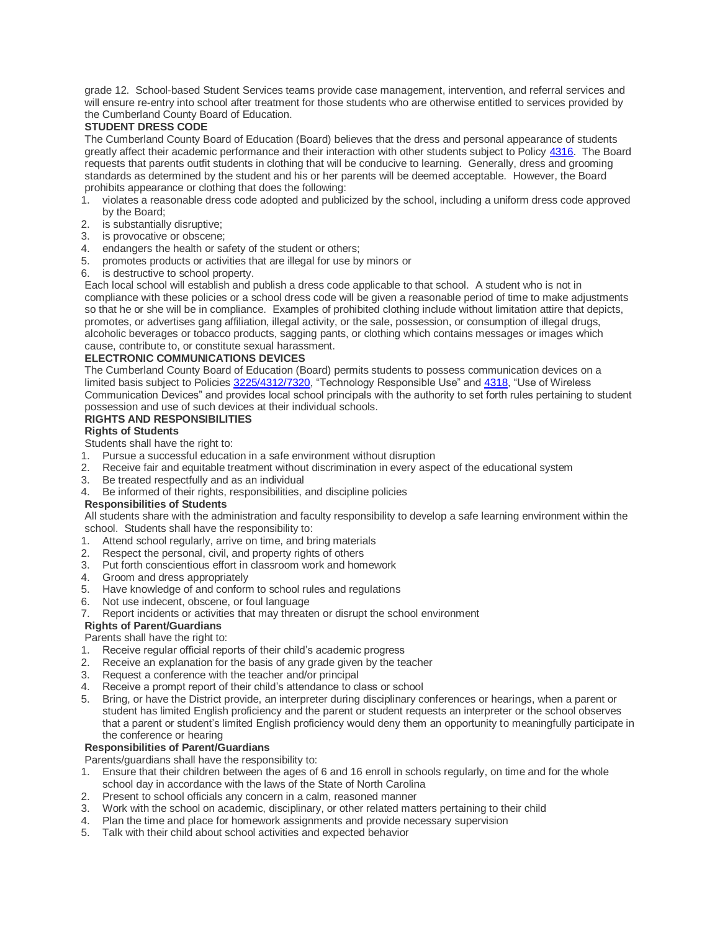grade 12. School-based Student Services teams provide case management, intervention, and referral services and will ensure re-entry into school after treatment for those students who are otherwise entitled to services provided by the Cumberland County Board of Education.

## **STUDENT DRESS CODE**

The Cumberland County Board of Education (Board) believes that the dress and personal appearance of students greatly affect their academic performance and their interaction with other students subject to Policy [4316.](https://boardpolicyonline.com/bl/?b=cumberland&s=127890) The Board requests that parents outfit students in clothing that will be conducive to learning. Generally, dress and grooming standards as determined by the student and his or her parents will be deemed acceptable. However, the Board prohibits appearance or clothing that does the following:

- 1. violates a reasonable dress code adopted and publicized by the school, including a uniform dress code approved by the Board;
- 2. is substantially disruptive;
- 3. is provocative or obscene;
- 4. endangers the health or safety of the student or others;
- 5. promotes products or activities that are illegal for use by minors or
- 6. is destructive to school property.

Each local school will establish and publish a dress code applicable to that school. A student who is not in compliance with these policies or a school dress code will be given a reasonable period of time to make adjustments so that he or she will be in compliance. Examples of prohibited clothing include without limitation attire that depicts, promotes, or advertises gang affiliation, illegal activity, or the sale, possession, or consumption of illegal drugs, alcoholic beverages or tobacco products, sagging pants, or clothing which contains messages or images which cause, contribute to, or constitute sexual harassment.

## **ELECTRONIC COMMUNICATIONS DEVICES**

The Cumberland County Board of Education (Board) permits students to possess communication devices on a limited basis subject to Policies [3225/4312/7320,](https://boardpolicyonline.com/bl/?b=cumberland&s=127779) "Technology Responsible Use" and [4318,](https://boardpolicyonline.com/bl/?b=cumberland&s=127893) "Use of Wireless Communication Devices" and provides local school principals with the authority to set forth rules pertaining to student possession and use of such devices at their individual schools.

# **RIGHTS AND RESPONSIBILITIES**

## **Rights of Students**

Students shall have the right to:

- 1. Pursue a successful education in a safe environment without disruption
- 2. Receive fair and equitable treatment without discrimination in every aspect of the educational system
- 3. Be treated respectfully and as an individual
- 4. Be informed of their rights, responsibilities, and discipline policies

## **Responsibilities of Students**

All students share with the administration and faculty responsibility to develop a safe learning environment within the school. Students shall have the responsibility to:

- 1. Attend school regularly, arrive on time, and bring materials
- 2. Respect the personal, civil, and property rights of others
- 3. Put forth conscientious effort in classroom work and homework
- 4. Groom and dress appropriately
- 5. Have knowledge of and conform to school rules and regulations
- 6. Not use indecent, obscene, or foul language
- 7. Report incidents or activities that may threaten or disrupt the school environment

## **Rights of Parent/Guardians**

Parents shall have the right to:

- 1. Receive regular official reports of their child's academic progress
- 2. Receive an explanation for the basis of any grade given by the teacher
- 3. Request a conference with the teacher and/or principal
- 4. Receive a prompt report of their child's attendance to class or school
- 5. Bring, or have the District provide, an interpreter during disciplinary conferences or hearings, when a parent or student has limited English proficiency and the parent or student requests an interpreter or the school observes that a parent or student's limited English proficiency would deny them an opportunity to meaningfully participate in the conference or hearing

## **Responsibilities of Parent/Guardians**

Parents/guardians shall have the responsibility to:

- 1. Ensure that their children between the ages of 6 and 16 enroll in schools regularly, on time and for the whole school day in accordance with the laws of the State of North Carolina
- 2. Present to school officials any concern in a calm, reasoned manner
- 3. Work with the school on academic, disciplinary, or other related matters pertaining to their child
- 4. Plan the time and place for homework assignments and provide necessary supervision
- 5. Talk with their child about school activities and expected behavior